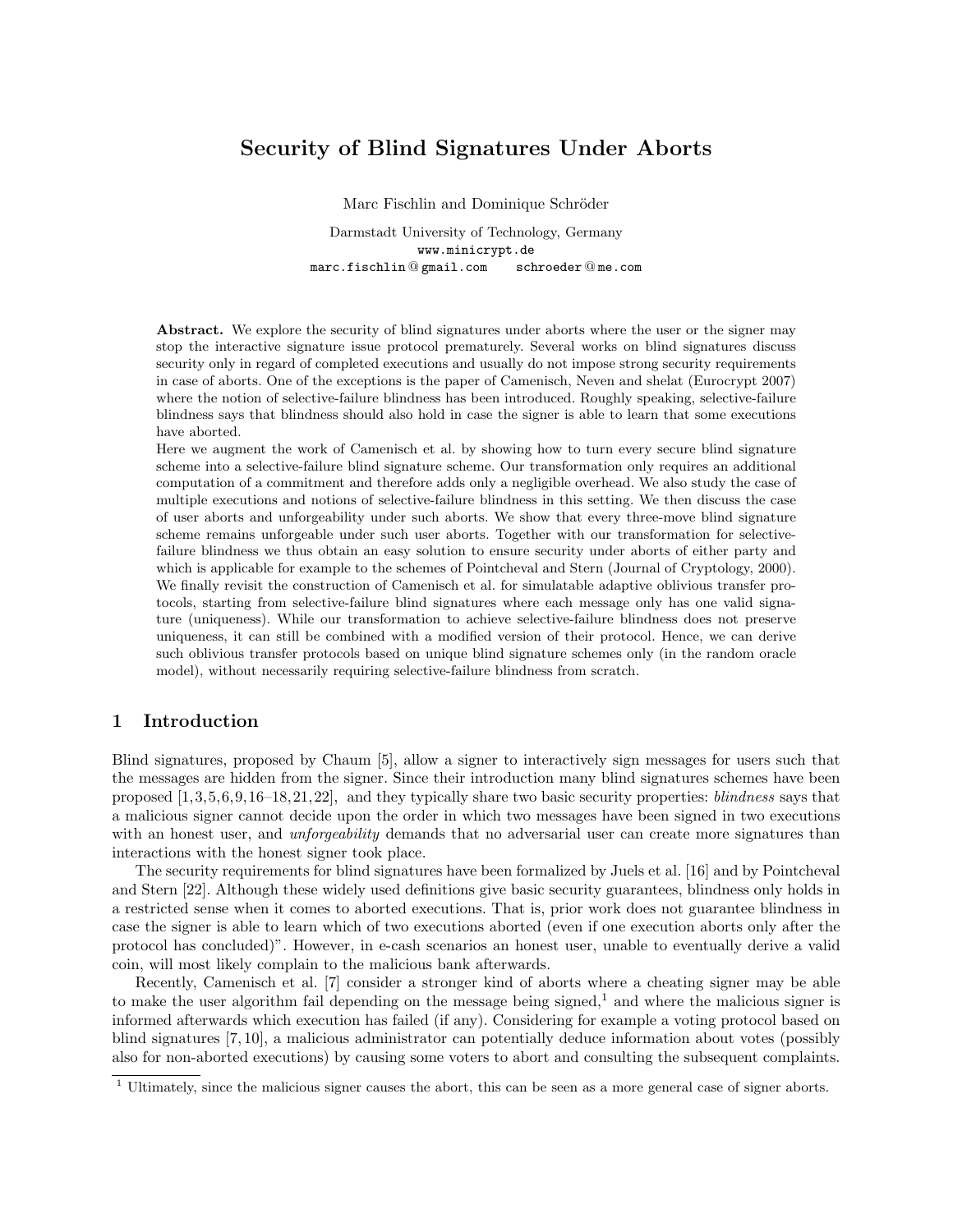# Security of Blind Signatures Under Aborts

Marc Fischlin and Dominique Schröder

Darmstadt University of Technology, Germany www.minicrypt.de marc.fischlin @ gmail.com schroeder @ me.com

Abstract. We explore the security of blind signatures under aborts where the user or the signer may stop the interactive signature issue protocol prematurely. Several works on blind signatures discuss security only in regard of completed executions and usually do not impose strong security requirements in case of aborts. One of the exceptions is the paper of Camenisch, Neven and shelat (Eurocrypt 2007) where the notion of selective-failure blindness has been introduced. Roughly speaking, selective-failure blindness says that blindness should also hold in case the signer is able to learn that some executions have aborted.

Here we augment the work of Camenisch et al. by showing how to turn every secure blind signature scheme into a selective-failure blind signature scheme. Our transformation only requires an additional computation of a commitment and therefore adds only a negligible overhead. We also study the case of multiple executions and notions of selective-failure blindness in this setting. We then discuss the case of user aborts and unforgeability under such aborts. We show that every three-move blind signature scheme remains unforgeable under such user aborts. Together with our transformation for selectivefailure blindness we thus obtain an easy solution to ensure security under aborts of either party and which is applicable for example to the schemes of Pointcheval and Stern (Journal of Cryptology, 2000). We finally revisit the construction of Camenisch et al. for simulatable adaptive oblivious transfer protocols, starting from selective-failure blind signatures where each message only has one valid signature (uniqueness). While our transformation to achieve selective-failure blindness does not preserve uniqueness, it can still be combined with a modified version of their protocol. Hence, we can derive such oblivious transfer protocols based on unique blind signature schemes only (in the random oracle model), without necessarily requiring selective-failure blindness from scratch.

# 1 Introduction

Blind signatures, proposed by Chaum [5], allow a signer to interactively sign messages for users such that the messages are hidden from the signer. Since their introduction many blind signatures schemes have been proposed [1,3,5,6,9,16–18,21,22], and they typically share two basic security properties: blindness says that a malicious signer cannot decide upon the order in which two messages have been signed in two executions with an honest user, and *unforgeability* demands that no adversarial user can create more signatures than interactions with the honest signer took place.

The security requirements for blind signatures have been formalized by Juels et al. [16] and by Pointcheval and Stern [22]. Although these widely used definitions give basic security guarantees, blindness only holds in a restricted sense when it comes to aborted executions. That is, prior work does not guarantee blindness in case the signer is able to learn which of two executions aborted (even if one execution aborts only after the protocol has concluded)". However, in e-cash scenarios an honest user, unable to eventually derive a valid coin, will most likely complain to the malicious bank afterwards.

Recently, Camenisch et al. [7] consider a stronger kind of aborts where a cheating signer may be able to make the user algorithm fail depending on the message being signed, $<sup>1</sup>$  and where the malicious signer is</sup> informed afterwards which execution has failed (if any). Considering for example a voting protocol based on blind signatures [7, 10], a malicious administrator can potentially deduce information about votes (possibly also for non-aborted executions) by causing some voters to abort and consulting the subsequent complaints.

 $1$  Ultimately, since the malicious signer causes the abort, this can be seen as a more general case of signer aborts.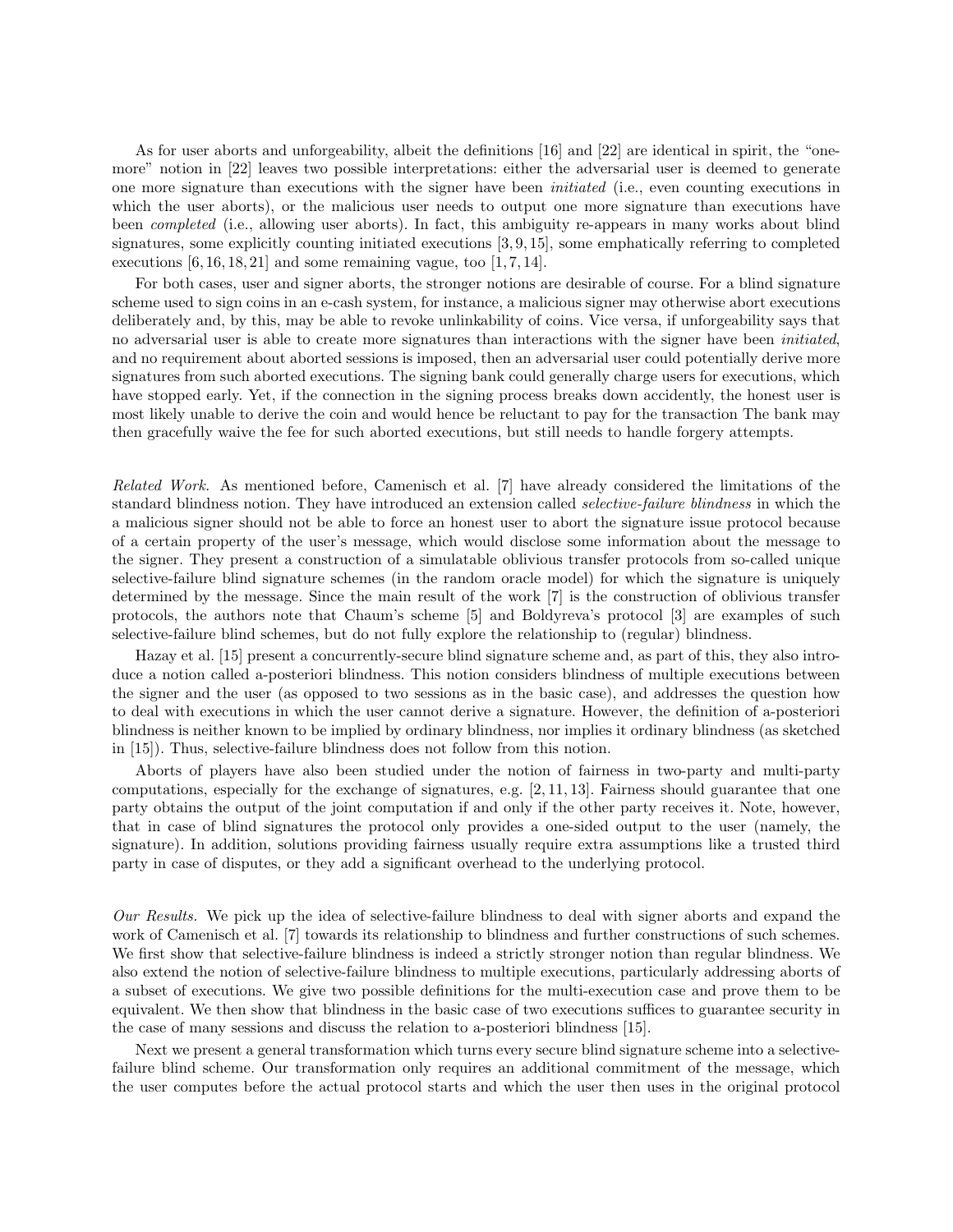As for user aborts and unforgeability, albeit the definitions [16] and [22] are identical in spirit, the "onemore" notion in [22] leaves two possible interpretations: either the adversarial user is deemed to generate one more signature than executions with the signer have been initiated (i.e., even counting executions in which the user aborts), or the malicious user needs to output one more signature than executions have been completed (i.e., allowing user aborts). In fact, this ambiguity re-appears in many works about blind signatures, some explicitly counting initiated executions [3, 9, 15], some emphatically referring to completed executions  $[6, 16, 18, 21]$  and some remaining vague, too  $[1, 7, 14]$ .

For both cases, user and signer aborts, the stronger notions are desirable of course. For a blind signature scheme used to sign coins in an e-cash system, for instance, a malicious signer may otherwise abort executions deliberately and, by this, may be able to revoke unlinkability of coins. Vice versa, if unforgeability says that no adversarial user is able to create more signatures than interactions with the signer have been initiated, and no requirement about aborted sessions is imposed, then an adversarial user could potentially derive more signatures from such aborted executions. The signing bank could generally charge users for executions, which have stopped early. Yet, if the connection in the signing process breaks down accidently, the honest user is most likely unable to derive the coin and would hence be reluctant to pay for the transaction The bank may then gracefully waive the fee for such aborted executions, but still needs to handle forgery attempts.

Related Work. As mentioned before, Camenisch et al. [7] have already considered the limitations of the standard blindness notion. They have introduced an extension called selective-failure blindness in which the a malicious signer should not be able to force an honest user to abort the signature issue protocol because of a certain property of the user's message, which would disclose some information about the message to the signer. They present a construction of a simulatable oblivious transfer protocols from so-called unique selective-failure blind signature schemes (in the random oracle model) for which the signature is uniquely determined by the message. Since the main result of the work [7] is the construction of oblivious transfer protocols, the authors note that Chaum's scheme [5] and Boldyreva's protocol [3] are examples of such selective-failure blind schemes, but do not fully explore the relationship to (regular) blindness.

Hazay et al. [15] present a concurrently-secure blind signature scheme and, as part of this, they also introduce a notion called a-posteriori blindness. This notion considers blindness of multiple executions between the signer and the user (as opposed to two sessions as in the basic case), and addresses the question how to deal with executions in which the user cannot derive a signature. However, the definition of a-posteriori blindness is neither known to be implied by ordinary blindness, nor implies it ordinary blindness (as sketched in [15]). Thus, selective-failure blindness does not follow from this notion.

Aborts of players have also been studied under the notion of fairness in two-party and multi-party computations, especially for the exchange of signatures, e.g. [2, 11, 13]. Fairness should guarantee that one party obtains the output of the joint computation if and only if the other party receives it. Note, however, that in case of blind signatures the protocol only provides a one-sided output to the user (namely, the signature). In addition, solutions providing fairness usually require extra assumptions like a trusted third party in case of disputes, or they add a significant overhead to the underlying protocol.

Our Results. We pick up the idea of selective-failure blindness to deal with signer aborts and expand the work of Camenisch et al. [7] towards its relationship to blindness and further constructions of such schemes. We first show that selective-failure blindness is indeed a strictly stronger notion than regular blindness. We also extend the notion of selective-failure blindness to multiple executions, particularly addressing aborts of a subset of executions. We give two possible definitions for the multi-execution case and prove them to be equivalent. We then show that blindness in the basic case of two executions suffices to guarantee security in the case of many sessions and discuss the relation to a-posteriori blindness [15].

Next we present a general transformation which turns every secure blind signature scheme into a selectivefailure blind scheme. Our transformation only requires an additional commitment of the message, which the user computes before the actual protocol starts and which the user then uses in the original protocol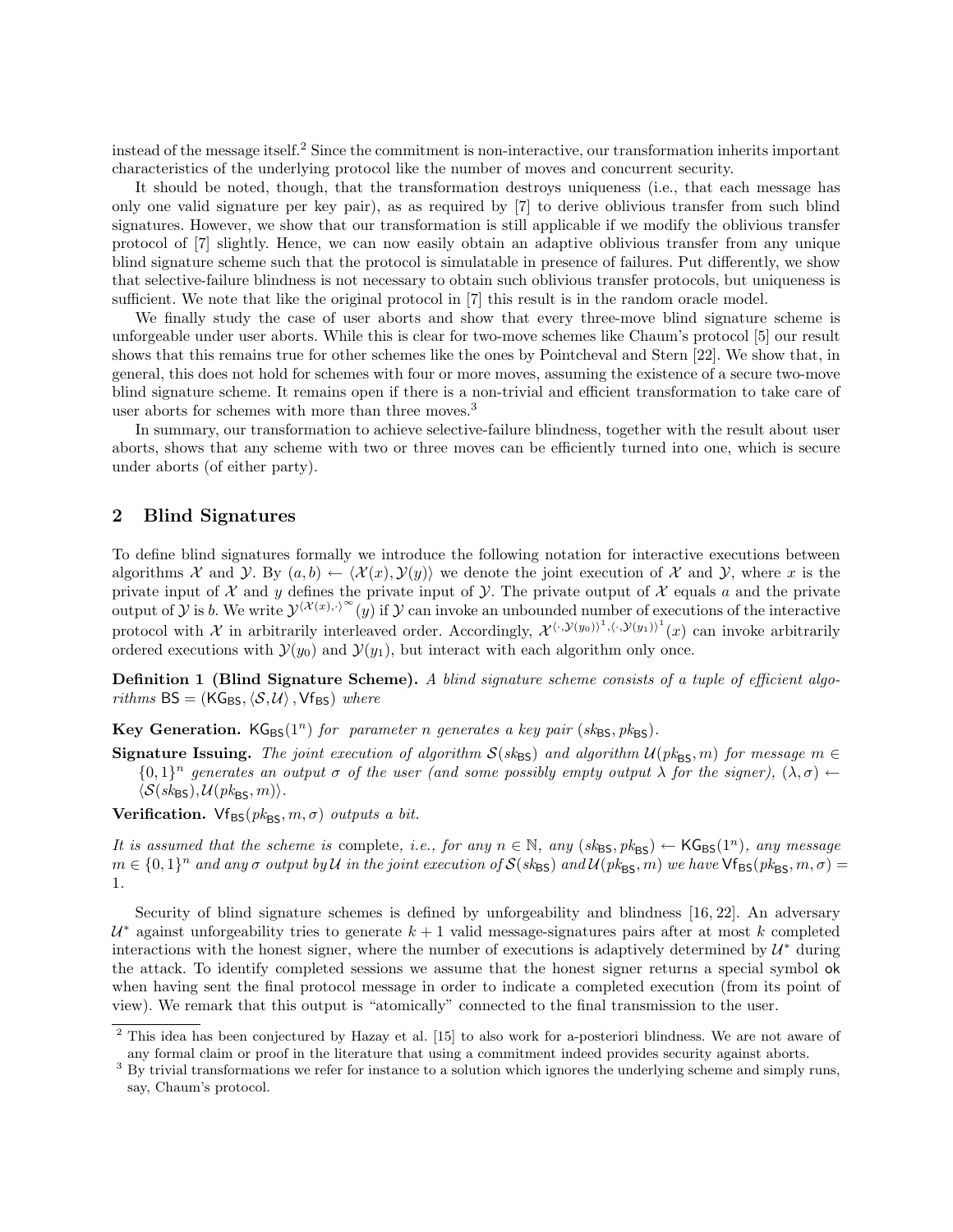instead of the message itself.<sup>2</sup> Since the commitment is non-interactive, our transformation inherits important characteristics of the underlying protocol like the number of moves and concurrent security.

It should be noted, though, that the transformation destroys uniqueness (i.e., that each message has only one valid signature per key pair), as as required by [7] to derive oblivious transfer from such blind signatures. However, we show that our transformation is still applicable if we modify the oblivious transfer protocol of [7] slightly. Hence, we can now easily obtain an adaptive oblivious transfer from any unique blind signature scheme such that the protocol is simulatable in presence of failures. Put differently, we show that selective-failure blindness is not necessary to obtain such oblivious transfer protocols, but uniqueness is sufficient. We note that like the original protocol in [7] this result is in the random oracle model.

We finally study the case of user aborts and show that every three-move blind signature scheme is unforgeable under user aborts. While this is clear for two-move schemes like Chaum's protocol [5] our result shows that this remains true for other schemes like the ones by Pointcheval and Stern [22]. We show that, in general, this does not hold for schemes with four or more moves, assuming the existence of a secure two-move blind signature scheme. It remains open if there is a non-trivial and efficient transformation to take care of user aborts for schemes with more than three moves.<sup>3</sup>

In summary, our transformation to achieve selective-failure blindness, together with the result about user aborts, shows that any scheme with two or three moves can be efficiently turned into one, which is secure under aborts (of either party).

## 2 Blind Signatures

To define blind signatures formally we introduce the following notation for interactive executions between algorithms X and Y. By  $(a, b) \leftarrow \langle \mathcal{X}(x), \mathcal{Y}(y) \rangle$  we denote the joint execution of X and Y, where x is the private input of X and y defines the private input of Y. The private output of X equals a and the private output of Y is b. We write  $\mathcal{Y}^{(\mathcal{X}(x),\cdot)}(y)$  if Y can invoke an unbounded number of executions of the interactive protocol with X in arbitrarily interleaved order. Accordingly,  $\mathcal{X}^{(\cdot,\mathcal{Y}(y_0))}$ ,  $(\cdot,\mathcal{Y}(y_1))$ <sup>1</sup> $(x)$  can invoke arbitrarily ordered executions with  $\mathcal{Y}(y_0)$  and  $\mathcal{Y}(y_1)$ , but interact with each algorithm only once.

**Definition 1 (Blind Signature Scheme).** A blind signature scheme consists of a tuple of efficient algorithms  $BS = (KG_{BS}, \langle S, \mathcal{U} \rangle, Vf_{BS})$  where

Key Generation.  $\mathsf{KG}_{\mathsf{BS}}(1^n)$  for parameter n generates a key pair  $(s_k, p_k)$ .

Signature Issuing. The joint execution of algorithm  $S$ (sk<sub>BS</sub>) and algorithm  $U(p_{k_{\text{BS}}}, m)$  for message  $m \in$  ${0,1}^n$  generates an output  $\sigma$  of the user (and some possibly empty output  $\lambda$  for the signer),  $(\lambda, \sigma) \leftarrow$  $\langle S(\mathit{sk}_{\text{BS}}), \mathcal{U}(\mathit{pk}_{\text{BS}}, m) \rangle$ .

Verification.  $Vf_{BS}(pk_{BS}, m, \sigma)$  outputs a bit.

It is assumed that the scheme is complete, i.e., for any  $n \in \mathbb{N}$ , any  $(s k_{BS}, p k_{BS}) \leftarrow \text{KG}_{BS}(1^n)$ , any message  $m \in \{0,1\}^n$  and any  $\sigma$  output by U in the joint execution of  $\mathcal{S}(sk_{\text{BS}})$  and  $\mathcal{U}(pk_{\text{BS}}, m)$  we have  $\mathsf{Vf}_{\text{BS}}(pk_{\text{BS}}, m, \sigma)$  = 1.

Security of blind signature schemes is defined by unforgeability and blindness [16, 22]. An adversary  $\mathcal{U}^*$  against unforgeability tries to generate  $k+1$  valid message-signatures pairs after at most k completed interactions with the honest signer, where the number of executions is adaptively determined by  $\mathcal{U}^*$  during the attack. To identify completed sessions we assume that the honest signer returns a special symbol ok when having sent the final protocol message in order to indicate a completed execution (from its point of view). We remark that this output is "atomically" connected to the final transmission to the user.

<sup>&</sup>lt;sup>2</sup> This idea has been conjectured by Hazay et al. [15] to also work for a-posteriori blindness. We are not aware of any formal claim or proof in the literature that using a commitment indeed provides security against aborts.

<sup>&</sup>lt;sup>3</sup> By trivial transformations we refer for instance to a solution which ignores the underlying scheme and simply runs, say, Chaum's protocol.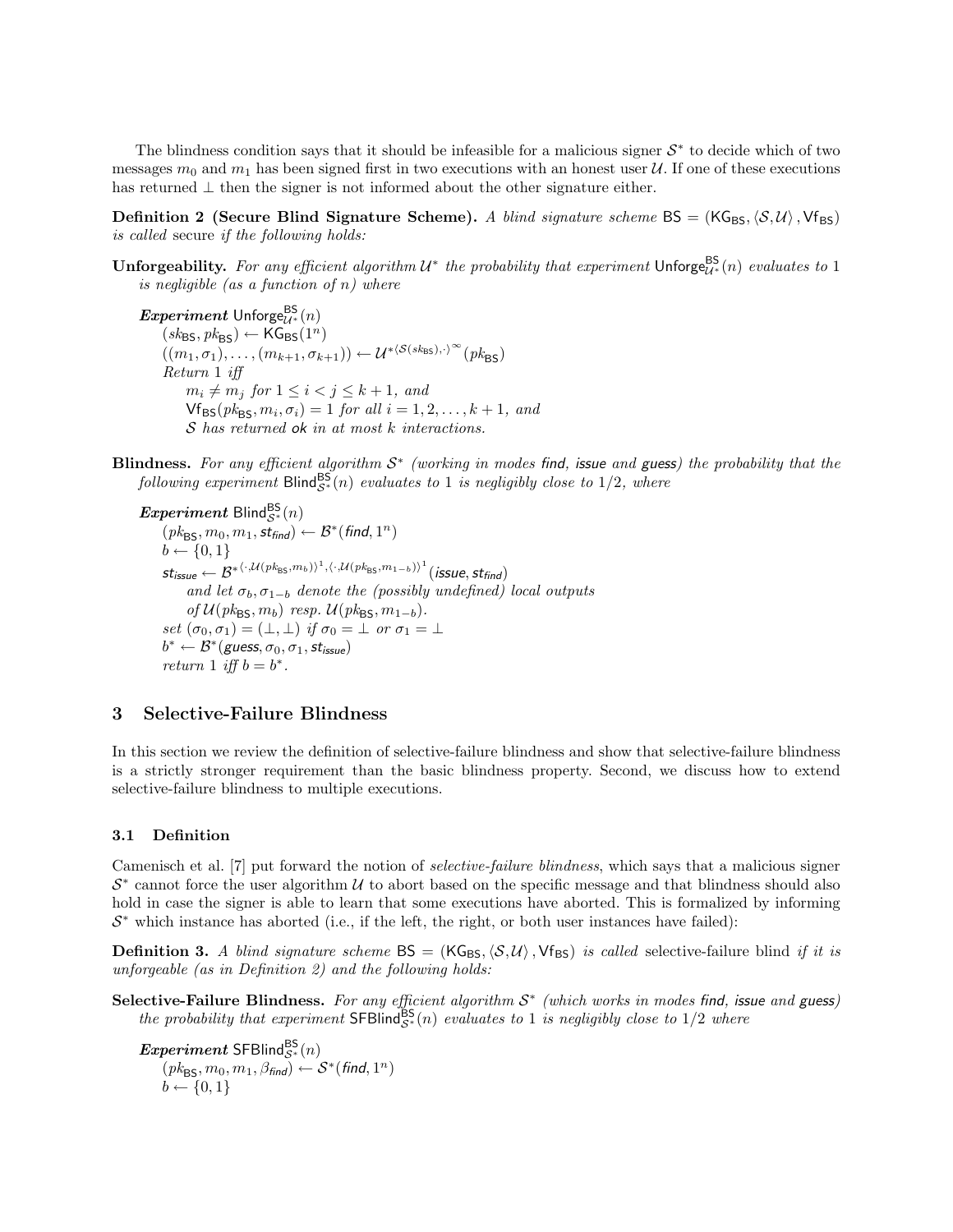The blindness condition says that it should be infeasible for a malicious signer  $S^*$  to decide which of two messages  $m_0$  and  $m_1$  has been signed first in two executions with an honest user U. If one of these executions has returned  $\perp$  then the signer is not informed about the other signature either.

**Definition 2** (Secure Blind Signature Scheme). A blind signature scheme BS = (KG<sub>BS</sub>,  $\langle S, U \rangle$ , Vf<sub>BS</sub>) is called secure if the following holds:

Unforgeability. For any efficient algorithm  $\mathcal{U}^*$  the probability that experiment Unforge $_{\mathcal{U}^*}^{\text{BS}}(n)$  evaluates to 1 is negligible (as a function of n) where

 $\boldsymbol{Experiment}$  Unforge $^{\text{BS}}_{\mathcal{U}^*}(n)$  $(\mathit{sk}_{\text{BS}}, \mathit{pk}_{\text{BS}}) \leftarrow \mathsf{KG}_{\text{BS}}(1^n)$  $((m_1, \sigma_1), \ldots, (m_{k+1}, \sigma_{k+1})) \leftarrow \mathcal{U}^{*(\mathcal{S}(sk_{\text{BS}}), \cdot)^\infty}(pk_{\text{BS}})$ Return 1 iff  $m_i \neq m_j$  for  $1 \leq i < j \leq k+1$ , and  $\mathsf{Vf}_{\mathsf{BS}}(pk_{\mathsf{BS}}, m_i, \sigma_i) = 1 \text{ for all } i = 1, 2, ..., k + 1, \text{ and}$ S has returned ok in at most k interactions.

**Blindness.** For any efficient algorithm  $\mathcal{S}^*$  (working in modes find, issue and guess) the probability that the following experiment Blind $S^{\mathsf{s}}(n)$  evaluates to 1 is negligibly close to 1/2, where

 $Experiment$  Blind $_{\mathcal{S}^*}^{\texttt{BS}}(n)$  $(pk_{\mathsf{BS}}, m_0, m_1, \mathsf{st}_{\mathit{find}}) \leftarrow \mathcal{B}^*(\mathit{find}, 1^n)$  $b \leftarrow \{0, 1\}$  $st_{\mathsf{issue}} \leftarrow \mathcal{B}^{*\langle \cdot, \mathcal{U}(pk_{\mathsf{BS}},m_b)\rangle^1,\langle \cdot, \mathcal{U}(pk_{\mathsf{BS}},m_{1-b})\rangle^1}(\mathsf{issue},\mathsf{st}_{\mathsf{find}})$ and let  $\sigma_b$ ,  $\sigma_{1-b}$  denote the (possibly undefined) local outputs of  $\mathcal{U}(pk_{\text{BS}}, m_b)$  resp.  $\mathcal{U}(pk_{\text{BS}}, m_{1-b}).$ set  $(\sigma_0, \sigma_1) = (\perp, \perp)$  if  $\sigma_0 = \perp$  or  $\sigma_1 = \perp$  $b^* \leftarrow \mathcal{B}^*(\textit{guess}, \sigma_0, \sigma_1, \textit{st}_\textit{issue})$ return 1 iff  $b = b^*$ .

# 3 Selective-Failure Blindness

In this section we review the definition of selective-failure blindness and show that selective-failure blindness is a strictly stronger requirement than the basic blindness property. Second, we discuss how to extend selective-failure blindness to multiple executions.

#### 3.1 Definition

Camenisch et al. [7] put forward the notion of selective-failure blindness, which says that a malicious signer  $\mathcal{S}^*$  cannot force the user algorithm  $\mathcal U$  to abort based on the specific message and that blindness should also hold in case the signer is able to learn that some executions have aborted. This is formalized by informing  $S^*$  which instance has aborted (i.e., if the left, the right, or both user instances have failed):

**Definition 3.** A blind signature scheme  $BS = (KG_{BS}, \langle S, \mathcal{U} \rangle, Vf_{BS})$  is called selective-failure blind if it is unforgeable (as in Definition 2) and the following holds:

Selective-Failure Blindness. For any efficient algorithm  $S^*$  (which works in modes find, issue and guess) the probability that experiment SFBlind ${}^{BS}_{S^*}(n)$  evaluates to 1 is negligibly close to 1/2 where

Experiment SFBlind $_{\mathcal{S}^*}^{\text{BS}}(n)$  $\left( \mathit{pk}_{\mathsf{BS}}, m_0, m_1, \beta_{\mathit{find}} \right) \leftarrow \mathcal{S}^*(\mathit{find}, 1^n)$  $b \leftarrow \{0, 1\}$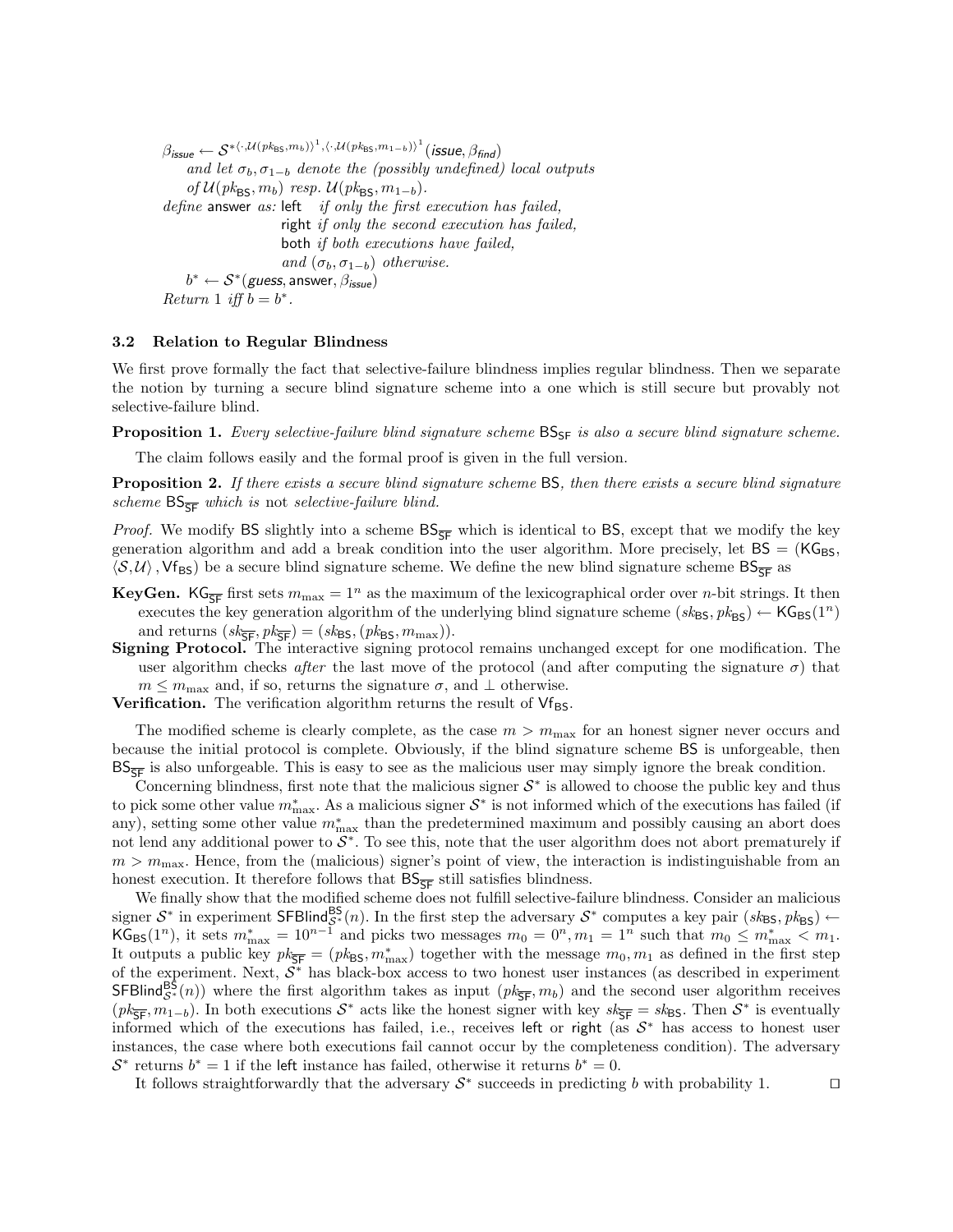$\beta_{\mathsf{issue}} \leftarrow \mathcal{S}^{*\langle \cdot, \mathcal{U}(pk_\mathsf{BS},m_b))^1, \langle \cdot, \mathcal{U}(pk_\mathsf{BS},m_{1-b}) \rangle^1}(\mathsf{issue}, \beta_\mathsf{find})$ and let  $\sigma_b$ ,  $\sigma_{1-b}$  denote the (possibly undefined) local outputs of  $\mathcal{U}(pk_{\text{BS}}, m_b)$  resp.  $\mathcal{U}(pk_{\text{BS}}, m_{1-b})$ . define answer as: left if only the first execution has failed, right if only the second execution has failed, both if both executions have failed, and  $(\sigma_b, \sigma_{1-b})$  otherwise.  $b^* \leftarrow \mathcal{S}^*(\textit{guess}, \text{answer}, \beta_{\text{issue}})$ Return 1 iff  $b = b^*$ .

### 3.2 Relation to Regular Blindness

We first prove formally the fact that selective-failure blindness implies regular blindness. Then we separate the notion by turning a secure blind signature scheme into a one which is still secure but provably not selective-failure blind.

**Proposition 1.** Every selective-failure blind signature scheme  $BS_{SF}$  is also a secure blind signature scheme.

The claim follows easily and the formal proof is given in the full version.

Proposition 2. If there exists a secure blind signature scheme BS, then there exists a secure blind signature scheme  $BS_{\overline{SE}}$  which is not selective-failure blind.

*Proof.* We modify BS slightly into a scheme  $BS_{\overline{SF}}$  which is identical to BS, except that we modify the key generation algorithm and add a break condition into the user algorithm. More precisely, let  $BS = (KG_{BS},$  $\langle S, U \rangle$ , Vf<sub>BS</sub>) be a secure blind signature scheme. We define the new blind signature scheme BS<sub>SF</sub> as

- **KeyGen.** KG<sub>SF</sub> first sets  $m_{\text{max}} = 1^n$  as the maximum of the lexicographical order over *n*-bit strings. It then executes the key generation algorithm of the underlying blind signature scheme  $(s_{\text{BS}}, p_{\text{BS}}) \leftarrow \text{KG}_{\text{BS}}(1^n)$ and returns  $(s\&\overline{\mathsf{s}_\mathsf{F}}, p\&\overline{\mathsf{s}_\mathsf{F}}) = (s\&\mathsf{BS},(p\&\mathsf{BS},m_{\max}))$ .
- Signing Protocol. The interactive signing protocol remains unchanged except for one modification. The user algorithm checks after the last move of the protocol (and after computing the signature  $\sigma$ ) that  $m \leq m_{\text{max}}$  and, if so, returns the signature  $\sigma$ , and  $\perp$  otherwise.
- Verification. The verification algorithm returns the result of  $Vf_{BS}$ .

The modified scheme is clearly complete, as the case  $m > m<sub>max</sub>$  for an honest signer never occurs and because the initial protocol is complete. Obviously, if the blind signature scheme BS is unforgeable, then  $BS_{\overline{SE}}$  is also unforgeable. This is easy to see as the malicious user may simply ignore the break condition.

Concerning blindness, first note that the malicious signer  $S^*$  is allowed to choose the public key and thus to pick some other value  $m^*_{\text{max}}$ . As a malicious signer  $\mathcal{S}^*$  is not informed which of the executions has failed (if any), setting some other value  $m^*_{\text{max}}$  than the predetermined maximum and possibly causing an abort does not lend any additional power to  $S^*$ . To see this, note that the user algorithm does not abort prematurely if  $m > m_{\text{max}}$ . Hence, from the (malicious) signer's point of view, the interaction is indistinguishable from an honest execution. It therefore follows that  $BS_{\overline{SF}}$  still satisfies blindness.

We finally show that the modified scheme does not fulfill selective-failure blindness. Consider an malicious signer  $S^*$  in experiment SFBlind ${}^{BS}_{S^*}(n)$ . In the first step the adversary  $S^*$  computes a key pair  $(s_k, p_k) \leftarrow$  $\mathsf{KG}_{\mathsf{BS}}(1^n)$ , it sets  $m^*_{\max} = 10^{n-1}$  and picks two messages  $m_0 = 0^n, m_1 = 1^n$  such that  $m_0 \le m^*_{\max} < m_1$ . It outputs a public key  $pk_{\overline{SF}} = (pk_{\overline{BS}}, m^*_{\text{max}})$  together with the message  $m_0, m_1$  as defined in the first step of the experiment. Next,  $\mathcal{S}^*$  has black-box access to two honest user instances (as described in experiment **SFBlind**<sup>BS</sup><sub> $(s^{(n)})$ </sub> where the first algorithm takes as input  $(pk_{\overline{SF}}, m_b)$  and the second user algorithm receives  $(pk_{\overline{SF}}, m_{1-b})$ . In both executions  $S^*$  acts like the honest signer with key  $sk_{\overline{SF}} = sk_{\text{BS}}$ . Then  $S^*$  is eventually informed which of the executions has failed, i.e., receives left or right (as  $S^*$  has access to honest user instances, the case where both executions fail cannot occur by the completeness condition). The adversary  $S^*$  returns  $b^* = 1$  if the left instance has failed, otherwise it returns  $b^* = 0$ .

It follows straightforwardly that the adversary  $S^*$  succeeds in predicting b with probability 1.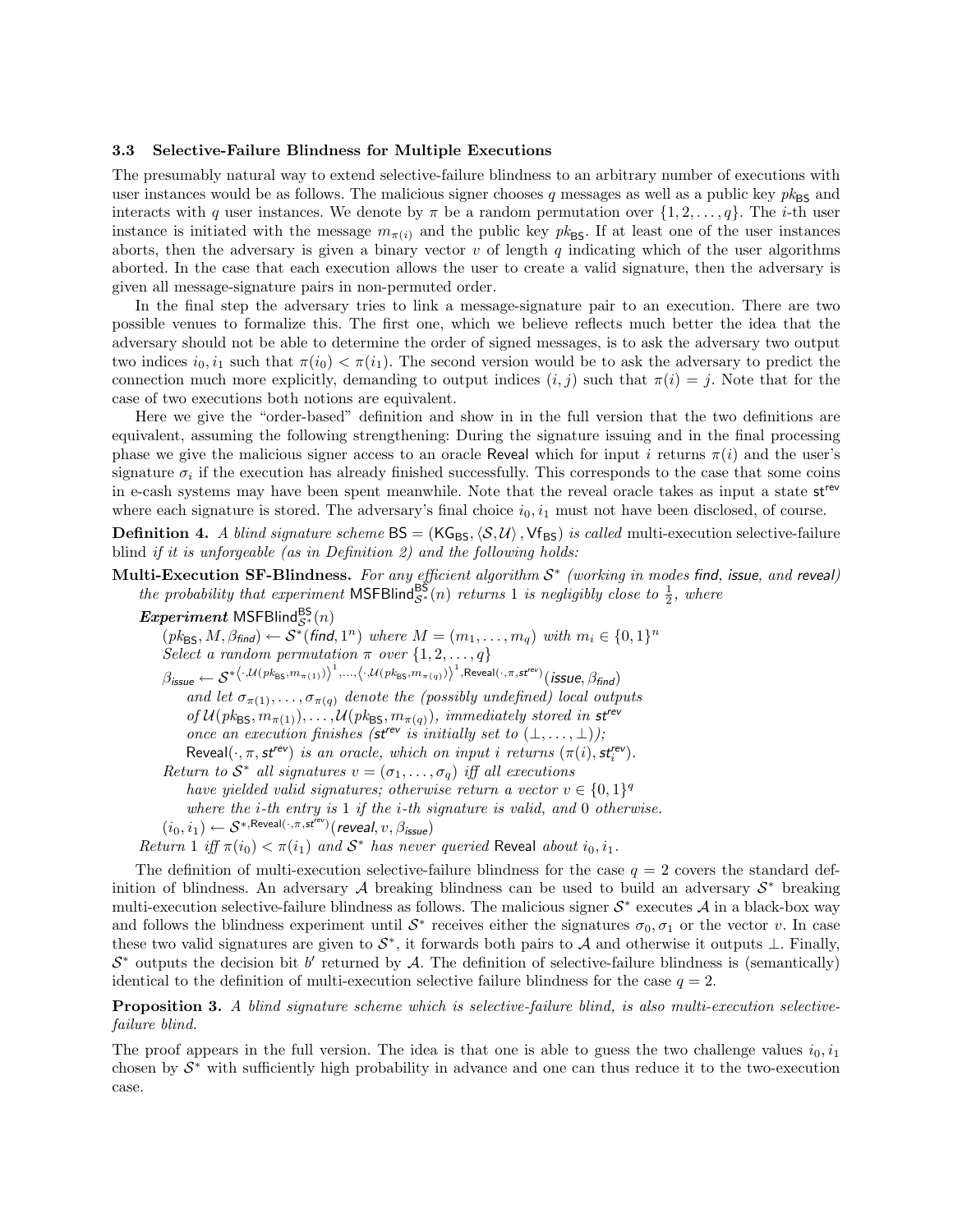#### 3.3 Selective-Failure Blindness for Multiple Executions

The presumably natural way to extend selective-failure blindness to an arbitrary number of executions with user instances would be as follows. The malicious signer chooses q messages as well as a public key  $pk_{BS}$  and interacts with q user instances. We denote by  $\pi$  be a random permutation over  $\{1, 2, \ldots, q\}$ . The *i*-th user instance is initiated with the message  $m_{\pi(i)}$  and the public key  $pk_{\text{BS}}$ . If at least one of the user instances aborts, then the adversary is given a binary vector  $v$  of length  $q$  indicating which of the user algorithms aborted. In the case that each execution allows the user to create a valid signature, then the adversary is given all message-signature pairs in non-permuted order.

In the final step the adversary tries to link a message-signature pair to an execution. There are two possible venues to formalize this. The first one, which we believe reflects much better the idea that the adversary should not be able to determine the order of signed messages, is to ask the adversary two output two indices  $i_0, i_1$  such that  $\pi(i_0) < \pi(i_1)$ . The second version would be to ask the adversary to predict the connection much more explicitly, demanding to output indices  $(i, j)$  such that  $\pi(i) = j$ . Note that for the case of two executions both notions are equivalent.

Here we give the "order-based" definition and show in in the full version that the two definitions are equivalent, assuming the following strengthening: During the signature issuing and in the final processing phase we give the malicious signer access to an oracle Reveal which for input i returns  $\pi(i)$  and the user's signature  $\sigma_i$  if the execution has already finished successfully. This corresponds to the case that some coins in e-cash systems may have been spent meanwhile. Note that the reveal oracle takes as input a state strev where each signature is stored. The adversary's final choice  $i_0, i_1$  must not have been disclosed, of course.

**Definition 4.** A blind signature scheme  $BS = (KG_{BS}, \langle S, \mathcal{U} \rangle, Vf_{BS})$  is called multi-execution selective-failure blind if it is unforgeable (as in Definition 2) and the following holds:

Multi-Execution SF-Blindness. For any efficient algorithm  $S^*$  (working in modes find, issue, and reveal) the probability that experiment MSFBlind $S^{\ast}(n)$  returns 1 is negligibly close to  $\frac{1}{2}$ , where

Experiment MSFBlind $_{\mathcal{S}^*}^{\mathsf{BS}}(n)$  $(pk_{BS}, M, \beta_{find}) \leftarrow S^*(find, 1^n)$  where  $M = (m_1, \ldots, m_q)$  with  $m_i \in \{0, 1\}^n$ Select a random permutation  $\pi$  over  $\{1, 2, \ldots, q\}$  $\beta_{\mathsf{issue}} \gets \mathcal{S}^{*\big<\cdot,\mathcal{U}(pk_\mathsf{BS},m_{\pi(1)})\big>^1,...,\big<\cdot,\mathcal{U}(pk_\mathsf{BS},m_{\pi(q)})\big>^1, \mathsf{Reveal}(\cdot,\pi,\mathsf{sf}^\mathsf{rev})(\mathsf{issue},\beta_\mathsf{find})$ and let  $\sigma_{\pi(1)}, \ldots, \sigma_{\pi(q)}$  denote the (possibly undefined) local outputs of  $\mathcal{U}(pk_{\mathsf{BS}}, m_{\pi(1)}), \ldots, \mathcal{U}(pk_{\mathsf{BS}}, m_{\pi(q)})$ , immediately stored in st<sup>rev</sup> once an execution finishes (st<sup>rev</sup> is initially set to  $(\bot, \ldots, \bot)$ ); Reveal $(\cdot, \pi, st^{rev})$  is an oracle, which on input i returns  $(\pi(i), st^{rev}_i)$ . Return to  $S^*$  all signatures  $v = (\sigma_1, \ldots, \sigma_q)$  iff all executions have yielded valid signatures; otherwise return a vector  $v \in \{0,1\}^q$ where the *i*-th entry is 1 if the *i*-th signature is valid, and 0 otherwise.  $(i_0, i_1) \leftarrow \mathcal{S}^{*,\text{Reveal}(\cdot,\pi,\textit{st}^\textit{rev})}(\textit{reveal}, v, \beta_\textit{issue})$ Return 1 iff  $\pi(i_0) < \pi(i_1)$  and  $S^*$  has never queried Reveal about  $i_0, i_1$ .

The definition of multi-execution selective-failure blindness for the case  $q = 2$  covers the standard definition of blindness. An adversary  $A$  breaking blindness can be used to build an adversary  $S^*$  breaking multi-execution selective-failure blindness as follows. The malicious signer  $S^*$  executes A in a black-box way and follows the blindness experiment until  $S^*$  receives either the signatures  $\sigma_0, \sigma_1$  or the vector v. In case these two valid signatures are given to  $S^*$ , it forwards both pairs to A and otherwise it outputs  $\perp$ . Finally,  $\mathcal{S}^*$  outputs the decision bit b' returned by A. The definition of selective-failure blindness is (semantically) identical to the definition of multi-execution selective failure blindness for the case  $q = 2$ .

Proposition 3. A blind signature scheme which is selective-failure blind, is also multi-execution selectivefailure blind.

The proof appears in the full version. The idea is that one is able to guess the two challenge values  $i_0, i_1$ chosen by  $S^*$  with sufficiently high probability in advance and one can thus reduce it to the two-execution case.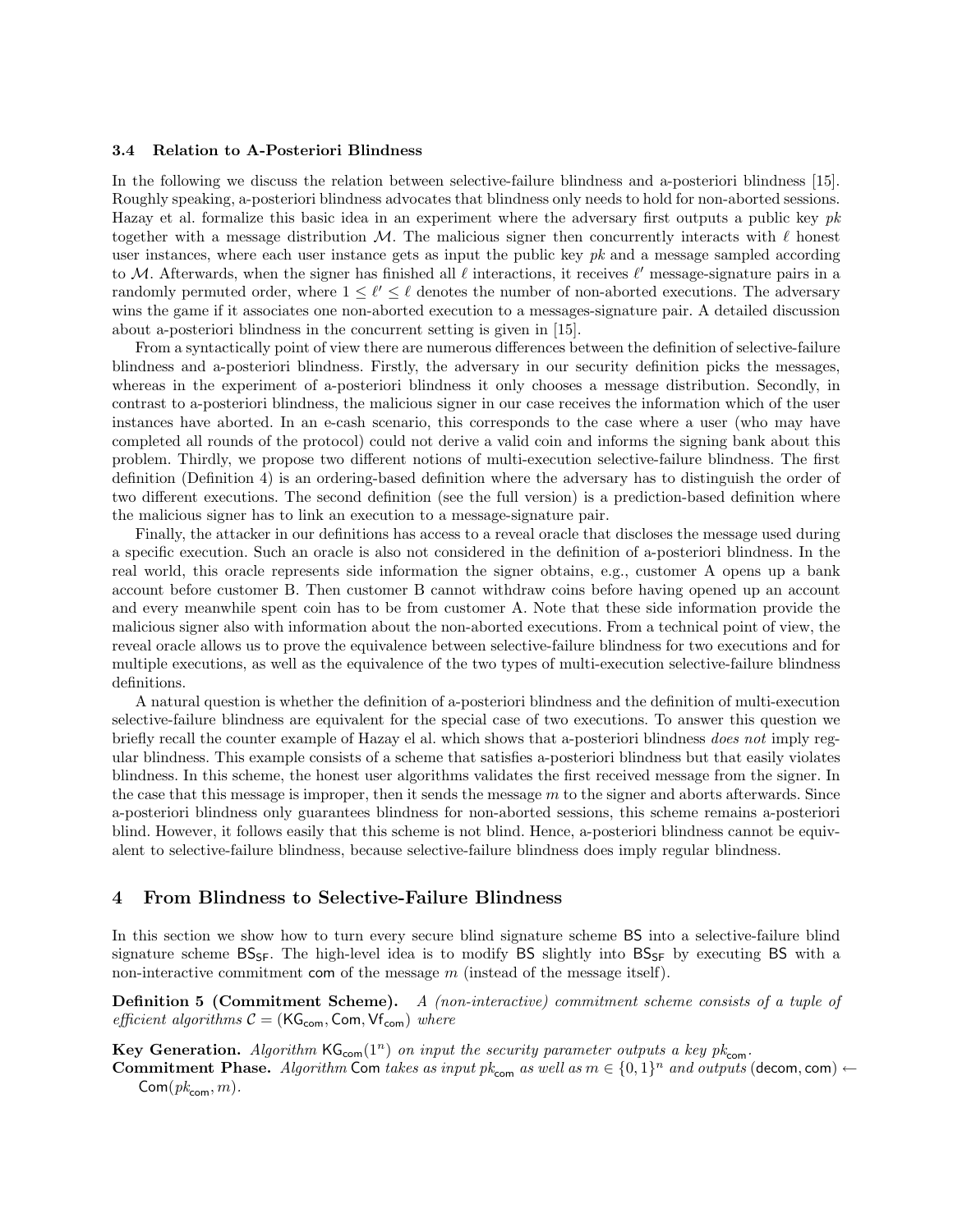#### 3.4 Relation to A-Posteriori Blindness

In the following we discuss the relation between selective-failure blindness and a-posteriori blindness [15]. Roughly speaking, a-posteriori blindness advocates that blindness only needs to hold for non-aborted sessions. Hazay et al. formalize this basic idea in an experiment where the adversary first outputs a public key  $pk$ together with a message distribution  $M$ . The malicious signer then concurrently interacts with  $\ell$  honest user instances, where each user instance gets as input the public key  $pk$  and a message sampled according to M. Afterwards, when the signer has finished all  $\ell$  interactions, it receives  $\ell'$  message-signature pairs in a randomly permuted order, where  $1 \leq \ell' \leq \ell$  denotes the number of non-aborted executions. The adversary wins the game if it associates one non-aborted execution to a messages-signature pair. A detailed discussion about a-posteriori blindness in the concurrent setting is given in [15].

From a syntactically point of view there are numerous differences between the definition of selective-failure blindness and a-posteriori blindness. Firstly, the adversary in our security definition picks the messages, whereas in the experiment of a-posteriori blindness it only chooses a message distribution. Secondly, in contrast to a-posteriori blindness, the malicious signer in our case receives the information which of the user instances have aborted. In an e-cash scenario, this corresponds to the case where a user (who may have completed all rounds of the protocol) could not derive a valid coin and informs the signing bank about this problem. Thirdly, we propose two different notions of multi-execution selective-failure blindness. The first definition (Definition 4) is an ordering-based definition where the adversary has to distinguish the order of two different executions. The second definition (see the full version) is a prediction-based definition where the malicious signer has to link an execution to a message-signature pair.

Finally, the attacker in our definitions has access to a reveal oracle that discloses the message used during a specific execution. Such an oracle is also not considered in the definition of a-posteriori blindness. In the real world, this oracle represents side information the signer obtains, e.g., customer A opens up a bank account before customer B. Then customer B cannot withdraw coins before having opened up an account and every meanwhile spent coin has to be from customer A. Note that these side information provide the malicious signer also with information about the non-aborted executions. From a technical point of view, the reveal oracle allows us to prove the equivalence between selective-failure blindness for two executions and for multiple executions, as well as the equivalence of the two types of multi-execution selective-failure blindness definitions.

A natural question is whether the definition of a-posteriori blindness and the definition of multi-execution selective-failure blindness are equivalent for the special case of two executions. To answer this question we briefly recall the counter example of Hazay el al. which shows that a-posteriori blindness does not imply regular blindness. This example consists of a scheme that satisfies a-posteriori blindness but that easily violates blindness. In this scheme, the honest user algorithms validates the first received message from the signer. In the case that this message is improper, then it sends the message  $m$  to the signer and aborts afterwards. Since a-posteriori blindness only guarantees blindness for non-aborted sessions, this scheme remains a-posteriori blind. However, it follows easily that this scheme is not blind. Hence, a-posteriori blindness cannot be equivalent to selective-failure blindness, because selective-failure blindness does imply regular blindness.

### 4 From Blindness to Selective-Failure Blindness

In this section we show how to turn every secure blind signature scheme BS into a selective-failure blind signature scheme  $BS_{SF}$ . The high-level idea is to modify BS slightly into  $BS_{SF}$  by executing BS with a non-interactive commitment com of the message  $m$  (instead of the message itself).

**Definition 5 (Commitment Scheme).** A (non-interactive) commitment scheme consists of a tuple of efficient algorithms  $C = (KG_{com}, Com, Vf_{com})$  where

Key Generation. Algorithm  $KG_{com}(1^n)$  on input the security parameter outputs a key p $k_{com}$ .

Commitment Phase. Algorithm Com takes as input  $pk_{com}$  as well as  $m \in \{0, 1\}^n$  and outputs (decom, com)  $\leftarrow$  $\mathsf{Com}(p_{k_{\mathsf{com}}}, m)$ .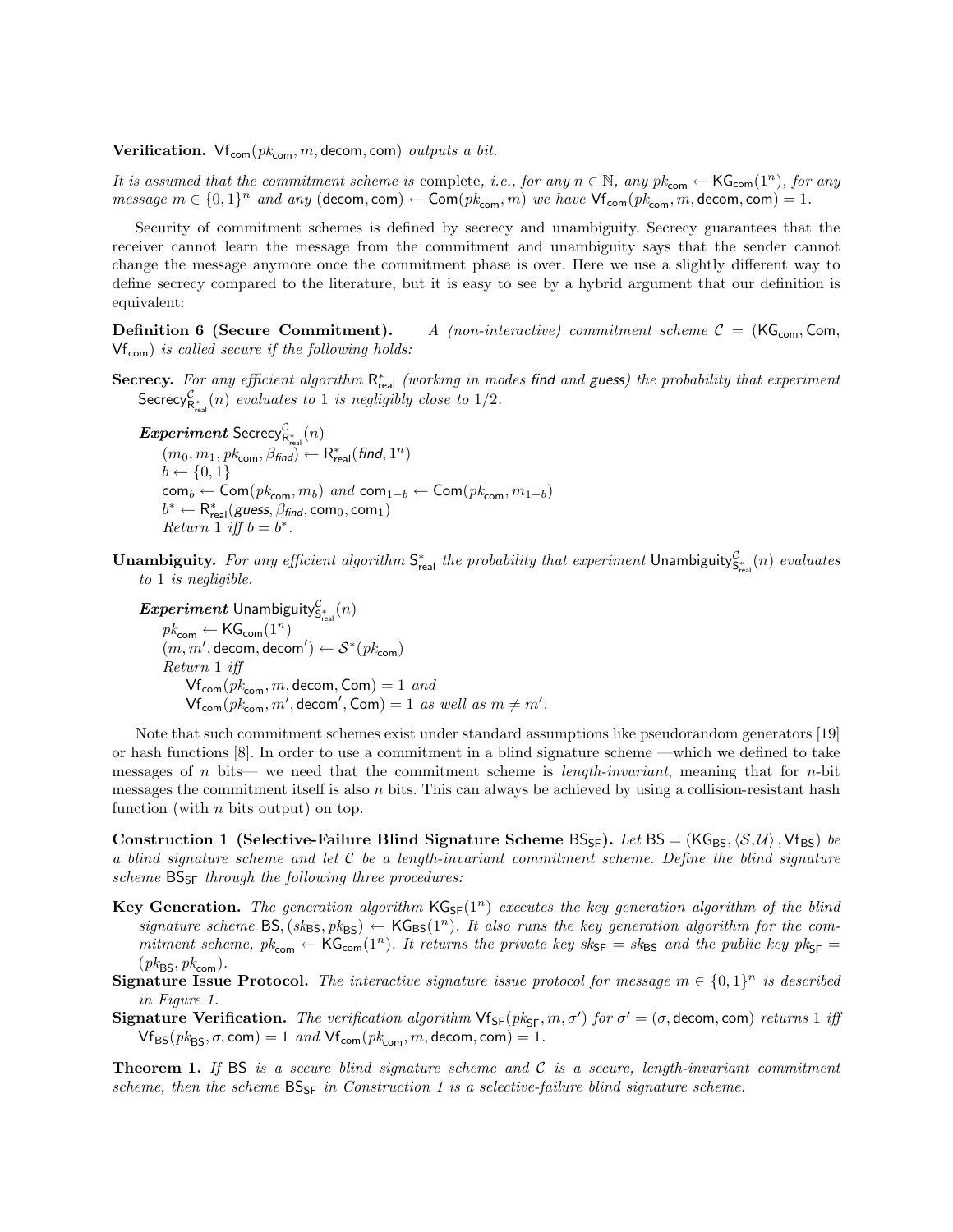Verification. Vf<sub>com</sub> $pk_{\text{com}}$ , m, decom, com) outputs a bit.

It is assumed that the commitment scheme is complete, i.e., for any  $n \in \mathbb{N}$ , any  $p_{k_{\text{com}}} \leftarrow \text{KG}_{\text{com}}(1^n)$ , for any message  $m \in \{0,1\}^n$  and any  $(\text{decom}, \text{com}) \leftarrow \text{Com}(pk_{\text{com}}, m)$  we have  $\text{Vf}_{\text{com}}(pk_{\text{com}}, m, \text{decom}, \text{com}) = 1$ .

Security of commitment schemes is defined by secrecy and unambiguity. Secrecy guarantees that the receiver cannot learn the message from the commitment and unambiguity says that the sender cannot change the message anymore once the commitment phase is over. Here we use a slightly different way to define secrecy compared to the literature, but it is easy to see by a hybrid argument that our definition is equivalent:

**Definition 6 (Secure Commitment).** A (non-interactive) commitment scheme  $C = (KG_{com}, Com,$  $Vf_{com}$ ) is called secure if the following holds:

**Secrecy.** For any efficient algorithm  $R_{real}^*$  (working in modes find and guess) the probability that experiment  $\mathsf{Secrecy}_{\mathsf{R}^*_{\mathsf{real}}}^{\mathcal{C}}(n)$  evaluates to  $1$  is negligibly close to  $1/2.$ 

 $\boldsymbol{Experiment}$  Secrecy $^{\mathcal{C}}_{\mathsf{R}_{\mathsf{real}}^*}(n)$  $(m_0, m_1, pk_{com}, \beta_{find}) \leftarrow R_{real}^*(find, 1^n)$  $b \leftarrow \{0, 1\}$  $\mathsf{com}_b \leftarrow \mathsf{Com}(pk_{\mathsf{com}}, m_b)$  and  $\mathsf{com}_{1-b} \leftarrow \mathsf{Com}(pk_{\mathsf{com}}, m_{1-b})$  $b^* \leftarrow \mathsf{R}^*_{\mathsf{real}}(\textit{guess}, \beta_{\mathit{find}}, \mathsf{com}_0, \mathsf{com}_1)$ Return 1 iff  $b = b^*$ .

**Unambiguity.** For any efficient algorithm  $S_{real}^*$  the probability that experiment Unambiguity $S_{real}^*(n)$  evaluates to 1 is negligible.

 $\boldsymbol{Experiment}$  Unambiguity $\boldsymbol{\mathcal{S}}_{\mathsf{real}}^{\mathcal{C}}(n)$ 

 $pk_{\text{com}} \leftarrow \textsf{KG}_{\textsf{com}}(1^n)$  $(m, m', \text{decom}, \text{decom}') \leftarrow \mathcal{S}^*(pk_{\text{com}})$ Return 1 iff  $Vf_{com}(pk_{com}, m, \text{decom}, \text{Com}) = 1$  and  $Vf_{\text{com}}(pk_{\text{com}}, m', \text{decom}', \text{Com}) = 1$  as well as  $m \neq m'.$ 

Note that such commitment schemes exist under standard assumptions like pseudorandom generators [19] or hash functions [8]. In order to use a commitment in a blind signature scheme —which we defined to take messages of n bits— we need that the commitment scheme is *length-invariant*, meaning that for n-bit messages the commitment itself is also  $n$  bits. This can always be achieved by using a collision-resistant hash function (with  $n$  bits output) on top.

Construction 1 (Selective-Failure Blind Signature Scheme  $BS_{SF}$ ). Let  $BS = (KG_{BS}, \langle S, \mathcal{U} \rangle, Vf_{BS})$  be a blind signature scheme and let C be a length-invariant commitment scheme. Define the blind signature scheme  $BS_{SF}$  through the following three procedures:

- **Key Generation.** The generation algorithm  $\text{KG}_F(1^n)$  executes the key generation algorithm of the blind signature scheme BS,  $(s_k, p_k) \leftarrow \text{KG}_{BS}(1^n)$ . It also runs the key generation algorithm for the commitment scheme,  $pk_{\text{com}} \leftarrow KG_{\text{com}}(1^n)$ . It returns the private key sk<sub>SF</sub> = sk<sub>BS</sub> and the public key  $pk_{\text{SF}}$  =  $(pk_{BS}, pk_{com})$ .
- **Signature Issue Protocol.** The interactive signature issue protocol for message  $m \in \{0,1\}^n$  is described in Figure 1.
- **Signature Verification.** The verification algorithm  $\forall f_{SF}(pk_{SF}, m, \sigma')$  for  $\sigma' = (\sigma, \text{decom}, \text{com})$  returns 1 iff  $Vf_{BS}(pk_{BS}, \sigma, com) = 1$  and  $Vf_{com}(pk_{com}, m, decom, com) = 1$ .

**Theorem 1.** If BS is a secure blind signature scheme and  $C$  is a secure, length-invariant commitment scheme, then the scheme  $BS_{SF}$  in Construction 1 is a selective-failure blind signature scheme.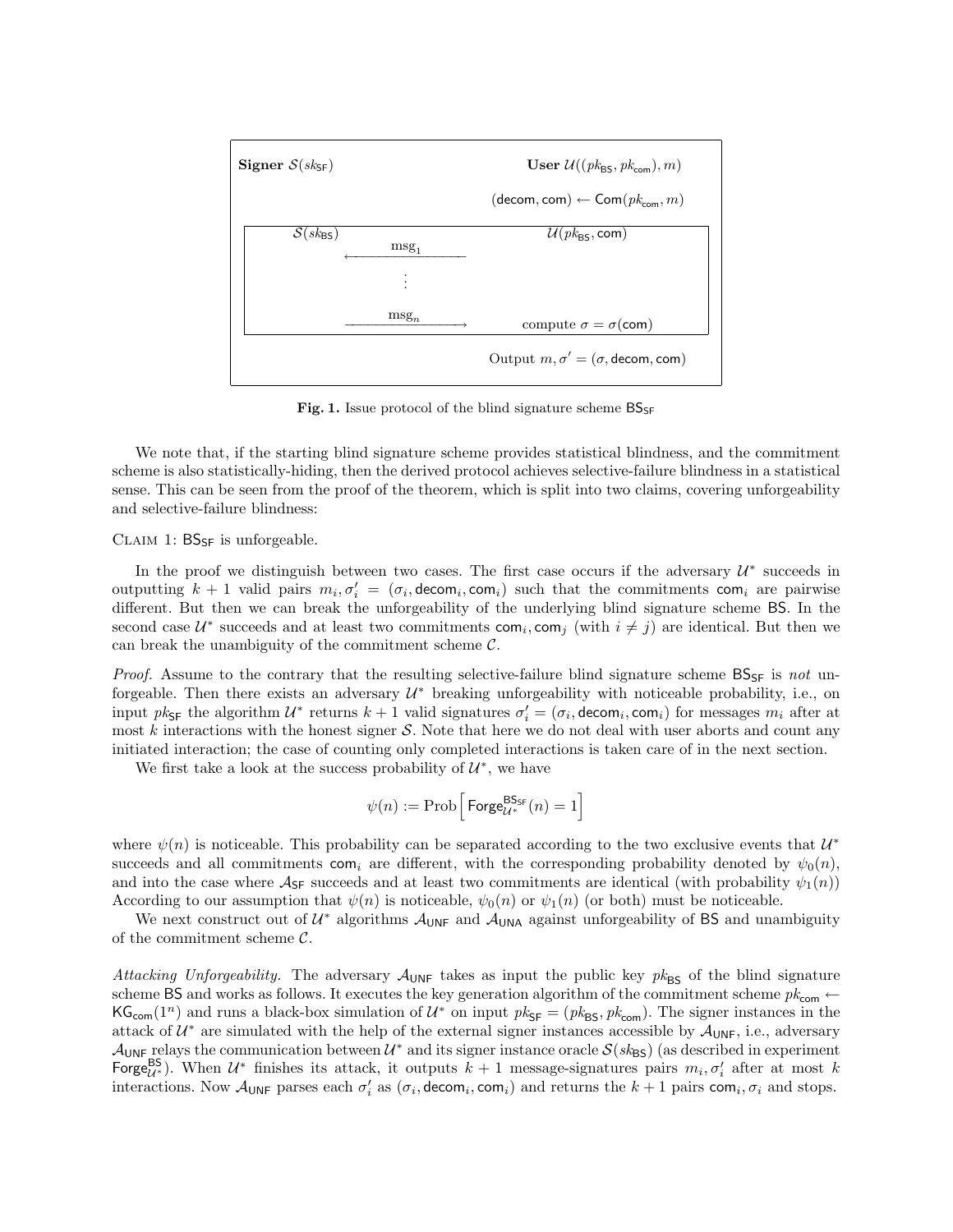

Fig. 1. Issue protocol of the blind signature scheme  $BS_{SF}$ 

We note that, if the starting blind signature scheme provides statistical blindness, and the commitment scheme is also statistically-hiding, then the derived protocol achieves selective-failure blindness in a statistical sense. This can be seen from the proof of the theorem, which is split into two claims, covering unforgeability and selective-failure blindness:

CLAIM 1:  $BS_{SF}$  is unforgeable.

In the proof we distinguish between two cases. The first case occurs if the adversary  $\mathcal{U}^*$  succeeds in outputting  $k+1$  valid pairs  $m_i, \sigma'_i = (\sigma_i, \text{decom}_i, \text{com}_i)$  such that the commitments com<sub>i</sub> are pairwise different. But then we can break the unforgeability of the underlying blind signature scheme BS. In the second case  $\mathcal{U}^*$  succeeds and at least two commitments  $\text{com}_i, \text{com}_j$  (with  $i \neq j$ ) are identical. But then we can break the unambiguity of the commitment scheme  $\mathcal{C}$ .

*Proof.* Assume to the contrary that the resulting selective-failure blind signature scheme  $BS_{SF}$  is not unforgeable. Then there exists an adversary  $\mathcal{U}^*$  breaking unforgeability with noticeable probability, i.e., on input  $pk_{SF}$  the algorithm  $\mathcal{U}^*$  returns  $k+1$  valid signatures  $\sigma'_i = (\sigma_i, \text{decom}_i, \text{com}_i)$  for messages  $m_i$  after at most k interactions with the honest signer  $S$ . Note that here we do not deal with user aborts and count any initiated interaction; the case of counting only completed interactions is taken care of in the next section.

We first take a look at the success probability of  $\mathcal{U}^*$ , we have

$$
\psi(n):=\text{Prob}\Big[\mathsf{Forge}_{\mathcal{U}^*}^{\mathsf{BS}_{\mathsf{SF}}}(n)=1\Big]
$$

where  $\psi(n)$  is noticeable. This probability can be separated according to the two exclusive events that  $\mathcal{U}^*$ succeeds and all commitments com<sub>i</sub> are different, with the corresponding probability denoted by  $\psi_0(n)$ , and into the case where  $\mathcal{A}_{SF}$  succeeds and at least two commitments are identical (with probability  $\psi_1(n)$ ) According to our assumption that  $\psi(n)$  is noticeable,  $\psi_0(n)$  or  $\psi_1(n)$  (or both) must be noticeable.

We next construct out of  $U^*$  algorithms  $\mathcal{A}_{\text{UNF}}$  and  $\mathcal{A}_{\text{UNA}}$  against unforgeability of BS and unambiguity of the commitment scheme  $\mathcal{C}.$ 

Attacking Unforgeability. The adversary  $A_{UNF}$  takes as input the public key  $pk_{BS}$  of the blind signature scheme BS and works as follows. It executes the key generation algorithm of the commitment scheme  $pk_{com} \leftarrow$  $\mathsf{KG}_{\mathsf{com}}(1^n)$  and runs a black-box simulation of  $\mathcal{U}^*$  on input  $pk_{\mathsf{SF}} = (pk_{\mathsf{BS}}, pk_{\mathsf{com}})$ . The signer instances in the attack of  $U^*$  are simulated with the help of the external signer instances accessible by  $\mathcal{A}_{UNF}$ , i.e., adversary  $A_{\text{UNF}}$  relays the communication between  $U^*$  and its signer instance oracle  $S(sk_{\text{BS}})$  (as described in experiment Forge<sup>BS</sup><sub>U<sup>\*</sup></sub>). When  $U^*$  finishes its attack, it outputs  $k+1$  message-signatures pairs  $m_i, \sigma'_i$  after at most k interactions. Now  $\mathcal{A}_{\text{UNF}}$  parses each  $\sigma'_i$  as  $(\sigma_i, \text{decom}_i, \text{com}_i)$  and returns the  $k+1$  pairs  $\text{com}_i, \sigma_i$  and stops.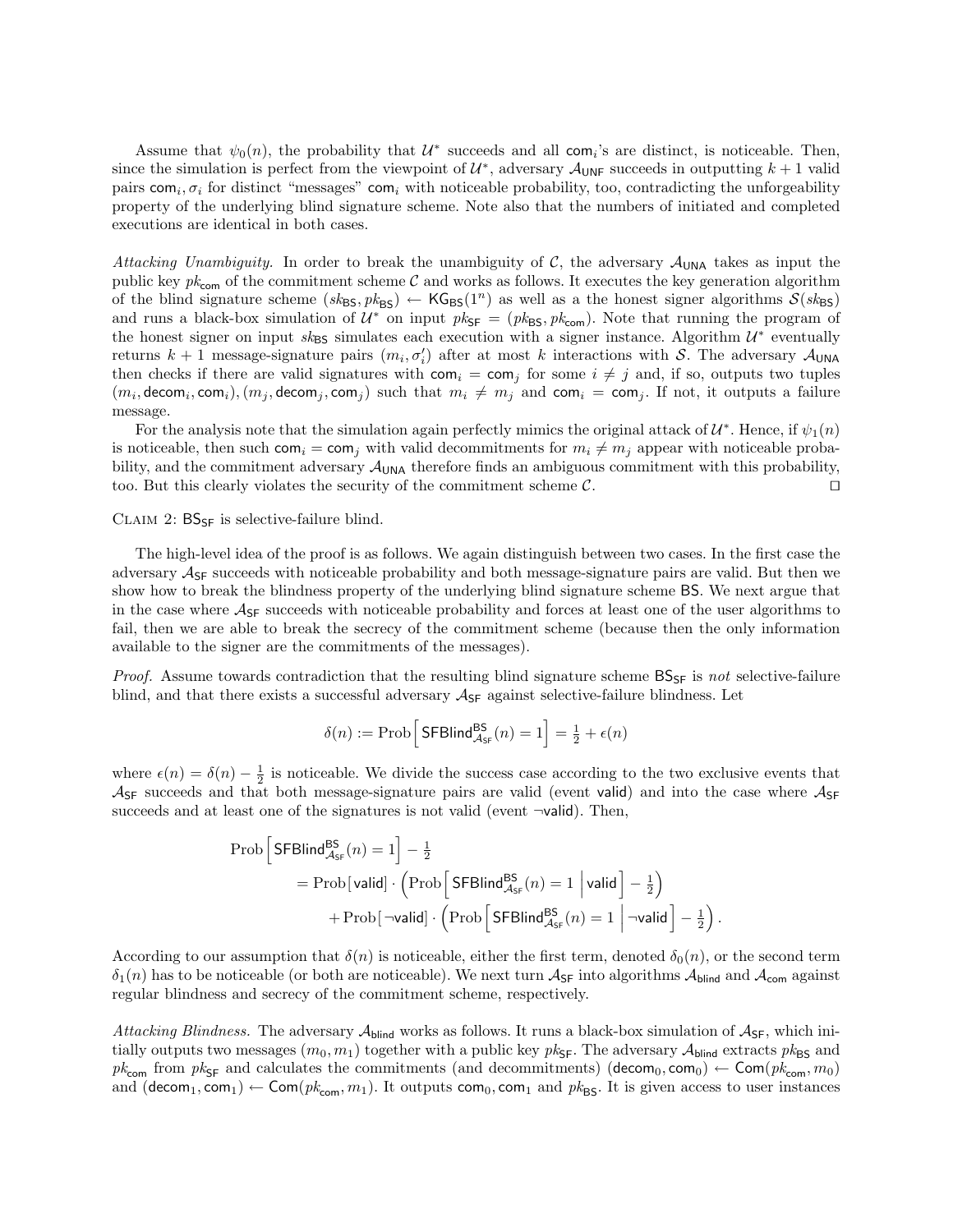Assume that  $\psi_0(n)$ , the probability that  $\mathcal{U}^*$  succeeds and all com<sub>i</sub>'s are distinct, is noticeable. Then, since the simulation is perfect from the viewpoint of  $\mathcal{U}^*$ , adversary  $\mathcal{A}_{\text{UNF}}$  succeeds in outputting  $k+1$  valid pairs  $com_i, \sigma_i$  for distinct "messages" com<sub>i</sub> with noticeable probability, too, contradicting the unforgeability property of the underlying blind signature scheme. Note also that the numbers of initiated and completed executions are identical in both cases.

Attacking Unambiguity. In order to break the unambiguity of C, the adversary  $\mathcal{A}_{\text{UNA}}$  takes as input the public key  $pk_{\text{com}}$  of the commitment scheme C and works as follows. It executes the key generation algorithm of the blind signature scheme  $(s k_{\text{BS}}, p k_{\text{BS}}) \leftarrow \text{KG}_{\text{BS}}(1^n)$  as well as a the honest signer algorithms  $\mathcal{S}(s k_{\text{BS}})$ and runs a black-box simulation of  $U^*$  on input  $pk_{SF} = (pk_{BS}, pk_{com})$ . Note that running the program of the honest signer on input  $sk_{BS}$  simulates each execution with a signer instance. Algorithm  $\mathcal{U}^*$  eventually returns  $k+1$  message-signature pairs  $(m_i, \sigma'_i)$  after at most k interactions with S. The adversary  $\mathcal{A}_{\text{UNA}}$ then checks if there are valid signatures with  $com_i = com_j$  for some  $i \neq j$  and, if so, outputs two tuples  $(m_i, \text{decom}_i, \text{com}_i), (m_j, \text{decom}_j, \text{com}_j)$  such that  $m_i \neq m_j$  and  $\text{com}_i = \text{com}_j$ . If not, it outputs a failure message.

For the analysis note that the simulation again perfectly mimics the original attack of  $\mathcal{U}^*$ . Hence, if  $\psi_1(n)$ is noticeable, then such  $com_i = com_j$  with valid decommitments for  $m_i \neq m_j$  appear with noticeable probability, and the commitment adversary  $A<sub>UNA</sub>$  therefore finds an ambiguous commitment with this probability, too. But this clearly violates the security of the commitment scheme  $\mathcal{C}$ .

CLAIM 2:  $BS_{SF}$  is selective-failure blind.

The high-level idea of the proof is as follows. We again distinguish between two cases. In the first case the adversary  $\mathcal{A}_{SF}$  succeeds with noticeable probability and both message-signature pairs are valid. But then we show how to break the blindness property of the underlying blind signature scheme BS. We next argue that in the case where  $\mathcal{A}_{\text{SF}}$  succeeds with noticeable probability and forces at least one of the user algorithms to fail, then we are able to break the secrecy of the commitment scheme (because then the only information available to the signer are the commitments of the messages).

*Proof.* Assume towards contradiction that the resulting blind signature scheme  $BS_{SF}$  is not selective-failure blind, and that there exists a successful adversary  $A_{SF}$  against selective-failure blindness. Let

$$
\delta(n) := \text{Prob}\Big[\text{SFBlind}_{\mathcal{A}_{\text{SF}}}^{\text{BS}}(n) = 1\Big] = \frac{1}{2} + \epsilon(n)
$$

where  $\epsilon(n) = \delta(n) - \frac{1}{2}$  is noticeable. We divide the success case according to the two exclusive events that  $\mathcal{A}_{SF}$  succeeds and that both message-signature pairs are valid (event valid) and into the case where  $\mathcal{A}_{SF}$ succeeds and at least one of the signatures is not valid (event  $\neg$ valid). Then,

$$
\begin{aligned} \text{Prob}\Big[\,\text{SFBlind}_{\mathcal{A}_{\text{SF}}}^{\text{BS}}(n) &= 1\Big]-\tfrac{1}{2} \\ &= \text{Prob}\big[\text{valid}\big]\cdot\Big(\text{Prob}\Big[\,\text{SFBlind}_{\mathcal{A}_{\text{SF}}}^{\text{BS}}(n) = 1\;\Big|\,\text{valid}\Big]-\tfrac{1}{2}\Big) \\ &\hspace{15.5em}+\text{Prob}\big[\neg \text{valid}\big]\cdot\Big(\text{Prob}\Big[\,\text{SFBlind}_{\mathcal{A}_{\text{SF}}}^{\text{BS}}(n) = 1\;\Big|\, \neg \text{valid}\Big]-\tfrac{1}{2}\Big)\,. \end{aligned}
$$

According to our assumption that  $\delta(n)$  is noticeable, either the first term, denoted  $\delta_0(n)$ , or the second term  $\delta_1(n)$  has to be noticeable (or both are noticeable). We next turn  $A_{\text{SF}}$  into algorithms  $A_{\text{blind}}$  and  $A_{\text{com}}$  against regular blindness and secrecy of the commitment scheme, respectively.

Attacking Blindness. The adversary  $A_{\text{blind}}$  works as follows. It runs a black-box simulation of  $A_{\text{SF}}$ , which initially outputs two messages  $(m_0, m_1)$  together with a public key  $pk_{\text{SE}}$ . The adversary  $\mathcal{A}_{\text{blind}}$  extracts  $pk_{\text{BS}}$  and  $pk_{\text{com}}$  from  $pk_{\text{SF}}$  and calculates the commitments (and decommitments) (decom<sub>0</sub>, com<sub>0</sub>)  $\leftarrow$  Com( $pk_{\text{com}}$ ,  $m_0$ ) and  $(\text{decom}_1, \text{com}_1) \leftarrow \text{Com}(p_{\text{k}_{\text{com}}}, m_1)$ . It outputs  $\text{com}_0, \text{com}_1$  and  $p_{\text{k}_{\text{BS}}}$ . It is given access to user instances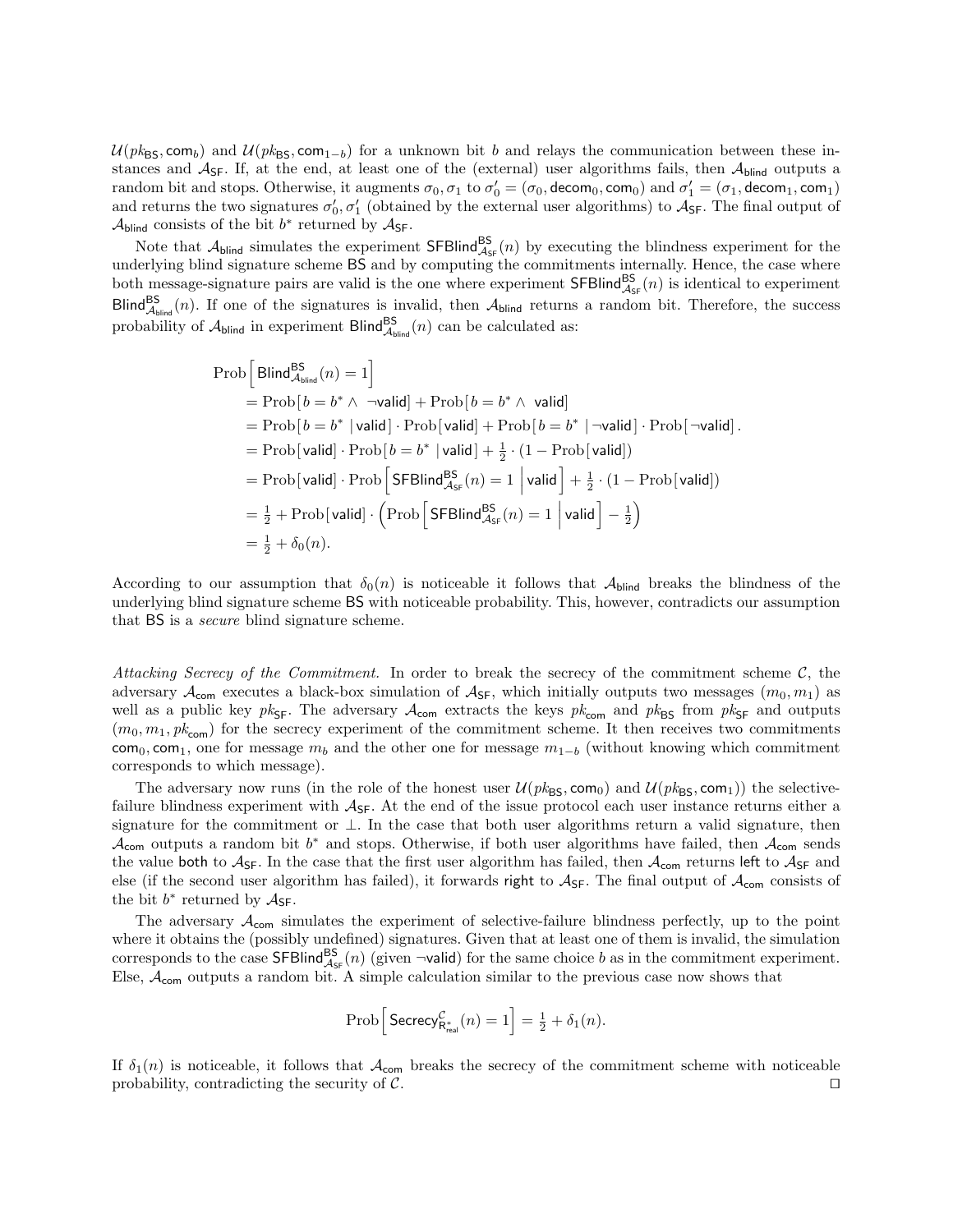$U(pk_{BS}, com_b)$  and  $U(pk_{BS}, com_{1-b})$  for a unknown bit b and relays the communication between these instances and  $\mathcal{A}_{SF}$ . If, at the end, at least one of the (external) user algorithms fails, then  $\mathcal{A}_{blind}$  outputs a random bit and stops. Otherwise, it augments  $\sigma_0, \sigma_1$  to  $\sigma'_0 = (\sigma_0, \text{decom}_0, \text{com}_0)$  and  $\sigma'_1 = (\sigma_1, \text{decom}_1, \text{com}_1)$ and returns the two signatures  $\sigma'_0$ ,  $\sigma'_1$  (obtained by the external user algorithms) to  $A_{\sf SF}$ . The final output of  $\mathcal{A}_{\text{blind}}$  consists of the bit  $b^*$  returned by  $\mathcal{A}_{\text{SF}}$ .

Note that  $\mathcal{A}_{\text{blind}}$  simulates the experiment SFBlind $_{\mathcal{A}_{\text{SF}}^{BS}}(n)$  by executing the blindness experiment for the underlying blind signature scheme BS and by computing the commitments internally. Hence, the case where both message-signature pairs are valid is the one where experiment  $\text{SFBlind}_{\mathcal{A}_{\text{SF}}}^{\text{BS}}(n)$  is identical to experiment Blind  $A_{\text{blind}}^{BS}(n)$ . If one of the signatures is invalid, then  $A_{\text{blind}}$  returns a random bit. Therefore, the success probability of  $\mathcal{A}_{\text{blind}}$  in experiment Blind $\mathcal{A}_{\text{blind}}(n)$  can be calculated as:

$$
\begin{aligned} &\text{Prob}\Big[\text{Blind}_{A_\text{blind}}^{\text{BS}}(n)=1\Big] \\ &=\text{Prob}\big[b=b^*\wedge \neg \text{valid}\big] + \text{Prob}\big[b=b^*\wedge \text{ valid}\big] \\ &=\text{Prob}\big[b=b^*\mid \text{valid}\big]\cdot \text{Prob}\big[\text{valid}\big] + \text{Prob}\big[b=b^*\mid \neg \text{valid}\big]\cdot \text{Prob}\big[\neg \text{valid}\big]\,. \\ &=\text{Prob}\big[\text{valid}\big]\cdot \text{Prob}\big[b=b^*\mid \text{valid}\big] + \tfrac{1}{2}\cdot(1-\text{Prob}\big[\text{valid}\big]\big) \\ &=\text{Prob}\big[\text{valid}\big]\cdot \text{Prob}\Big[\text{SFBlind}_{A_\text{SF}}^{\text{BS}}(n)=1\big|\text{valid}\Big]+\tfrac{1}{2}\cdot(1-\text{Prob}\big[\text{valid}\big]\big) \\ &=\tfrac{1}{2}+\text{Prob}\big[\text{valid}\big]\cdot \Big(\text{Prob}\Big[\text{SFBlind}_{A_\text{SF}}^{\text{BS}}(n)=1\big|\text{valid}\Big]-\tfrac{1}{2}\Big) \\ &=\tfrac{1}{2}+\delta_0(n). \end{aligned}
$$

According to our assumption that  $\delta_0(n)$  is noticeable it follows that  $\mathcal{A}_{\text{blind}}$  breaks the blindness of the underlying blind signature scheme BS with noticeable probability. This, however, contradicts our assumption that BS is a secure blind signature scheme.

Attacking Secrecy of the Commitment. In order to break the secrecy of the commitment scheme  $\mathcal{C}$ , the adversary  $\mathcal{A}_{\text{com}}$  executes a black-box simulation of  $\mathcal{A}_{\text{SF}}$ , which initially outputs two messages  $(m_0, m_1)$  as well as a public key  $pk_{SF}$ . The adversary  $\mathcal{A}_{com}$  extracts the keys  $pk_{com}$  and  $pk_{BS}$  from  $pk_{SF}$  and outputs  $(m_0, m_1, pk_{com})$  for the secrecy experiment of the commitment scheme. It then receives two commitments com<sub>0</sub>, com<sub>1</sub>, one for message  $m_b$  and the other one for message  $m_{1-b}$  (without knowing which commitment corresponds to which message).

The adversary now runs (in the role of the honest user  $\mathcal{U}(pk_{\mathsf{BS}}, \mathsf{com}_0)$  and  $\mathcal{U}(pk_{\mathsf{BS}}, \mathsf{com}_1)$ ) the selectivefailure blindness experiment with  $\mathcal{A}_{SF}$ . At the end of the issue protocol each user instance returns either a signature for the commitment or  $\perp$ . In the case that both user algorithms return a valid signature, then  $\mathcal{A}_{\mathsf{com}}$  outputs a random bit  $b^*$  and stops. Otherwise, if both user algorithms have failed, then  $\mathcal{A}_{\mathsf{com}}$  sends the value both to  $A_{SF}$ . In the case that the first user algorithm has failed, then  $A_{com}$  returns left to  $A_{SF}$  and else (if the second user algorithm has failed), it forwards right to  $A_{\mathsf{SF}}$ . The final output of  $A_{\mathsf{com}}$  consists of the bit  $b^*$  returned by  $A_{\mathsf{SF}}$ .

The adversary  $\mathcal{A}_{com}$  simulates the experiment of selective-failure blindness perfectly, up to the point where it obtains the (possibly undefined) signatures. Given that at least one of them is invalid, the simulation corresponds to the case SFBlind $_{As}^{BS}(n)$  (given  $\neg$ valid) for the same choice b as in the commitment experiment. Else,  $A_{\text{com}}$  outputs a random bit. A simple calculation similar to the previous case now shows that

$$
\operatorname{Prob}\Big[\operatorname{Secrecy}_{\mathsf{R}^*_{\mathsf{real}}}^{\mathcal{C}}(n) = 1\Big] = \tfrac{1}{2} + \delta_1(n).
$$

If  $\delta_1(n)$  is noticeable, it follows that  $\mathcal{A}_{com}$  breaks the secrecy of the commitment scheme with noticeable probability, contradicting the security of  $\mathcal{C}$ .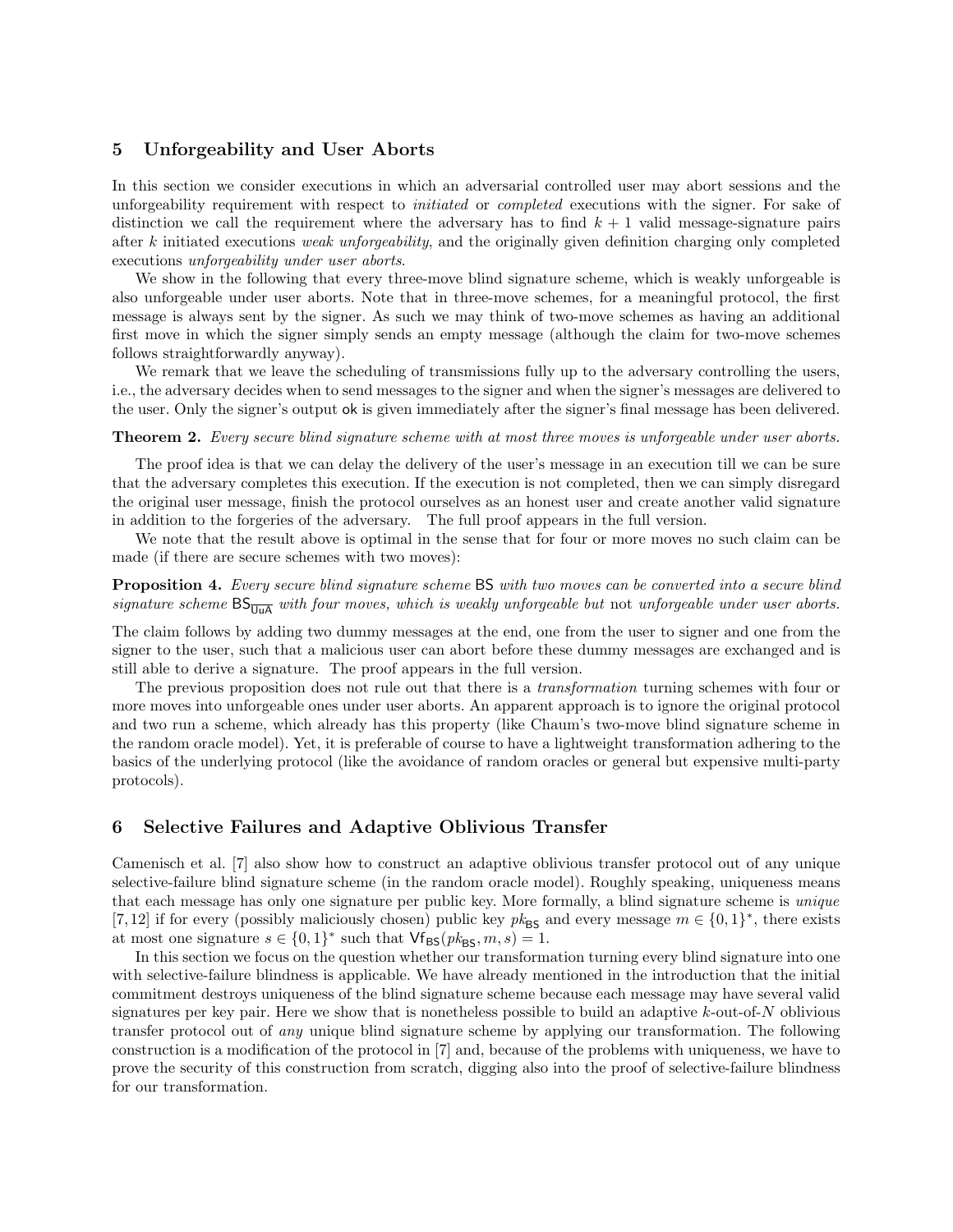# 5 Unforgeability and User Aborts

In this section we consider executions in which an adversarial controlled user may abort sessions and the unforgeability requirement with respect to *initiated* or *completed* executions with the signer. For sake of distinction we call the requirement where the adversary has to find  $k + 1$  valid message-signature pairs after k initiated executions weak unforgeability, and the originally given definition charging only completed executions unforgeability under user aborts.

We show in the following that every three-move blind signature scheme, which is weakly unforgeable is also unforgeable under user aborts. Note that in three-move schemes, for a meaningful protocol, the first message is always sent by the signer. As such we may think of two-move schemes as having an additional first move in which the signer simply sends an empty message (although the claim for two-move schemes follows straightforwardly anyway).

We remark that we leave the scheduling of transmissions fully up to the adversary controlling the users, i.e., the adversary decides when to send messages to the signer and when the signer's messages are delivered to the user. Only the signer's output ok is given immediately after the signer's final message has been delivered.

#### **Theorem 2.** Every secure blind signature scheme with at most three moves is unforgeable under user aborts.

The proof idea is that we can delay the delivery of the user's message in an execution till we can be sure that the adversary completes this execution. If the execution is not completed, then we can simply disregard the original user message, finish the protocol ourselves as an honest user and create another valid signature in addition to the forgeries of the adversary. The full proof appears in the full version.

We note that the result above is optimal in the sense that for four or more moves no such claim can be made (if there are secure schemes with two moves):

### **Proposition 4.** Every secure blind signature scheme BS with two moves can be converted into a secure blind signature scheme  $BS_{\overline{U}_{\text{U}}\text{A}}$  with four moves, which is weakly unforgeable but not unforgeable under user aborts.

The claim follows by adding two dummy messages at the end, one from the user to signer and one from the signer to the user, such that a malicious user can abort before these dummy messages are exchanged and is still able to derive a signature. The proof appears in the full version.

The previous proposition does not rule out that there is a *transformation* turning schemes with four or more moves into unforgeable ones under user aborts. An apparent approach is to ignore the original protocol and two run a scheme, which already has this property (like Chaum's two-move blind signature scheme in the random oracle model). Yet, it is preferable of course to have a lightweight transformation adhering to the basics of the underlying protocol (like the avoidance of random oracles or general but expensive multi-party protocols).

### 6 Selective Failures and Adaptive Oblivious Transfer

Camenisch et al. [7] also show how to construct an adaptive oblivious transfer protocol out of any unique selective-failure blind signature scheme (in the random oracle model). Roughly speaking, uniqueness means that each message has only one signature per public key. More formally, a blind signature scheme is unique [7,12] if for every (possibly maliciously chosen) public key  $pk_{BS}$  and every message  $m \in \{0, 1\}^*$ , there exists at most one signature  $s \in \{0,1\}^*$  such that  $\mathsf{Vf}_{\mathsf{BS}}(pk_{\mathsf{BS}}, m, s) = 1$ .

In this section we focus on the question whether our transformation turning every blind signature into one with selective-failure blindness is applicable. We have already mentioned in the introduction that the initial commitment destroys uniqueness of the blind signature scheme because each message may have several valid signatures per key pair. Here we show that is nonetheless possible to build an adaptive  $k$ -out-of-N oblivious transfer protocol out of any unique blind signature scheme by applying our transformation. The following construction is a modification of the protocol in [7] and, because of the problems with uniqueness, we have to prove the security of this construction from scratch, digging also into the proof of selective-failure blindness for our transformation.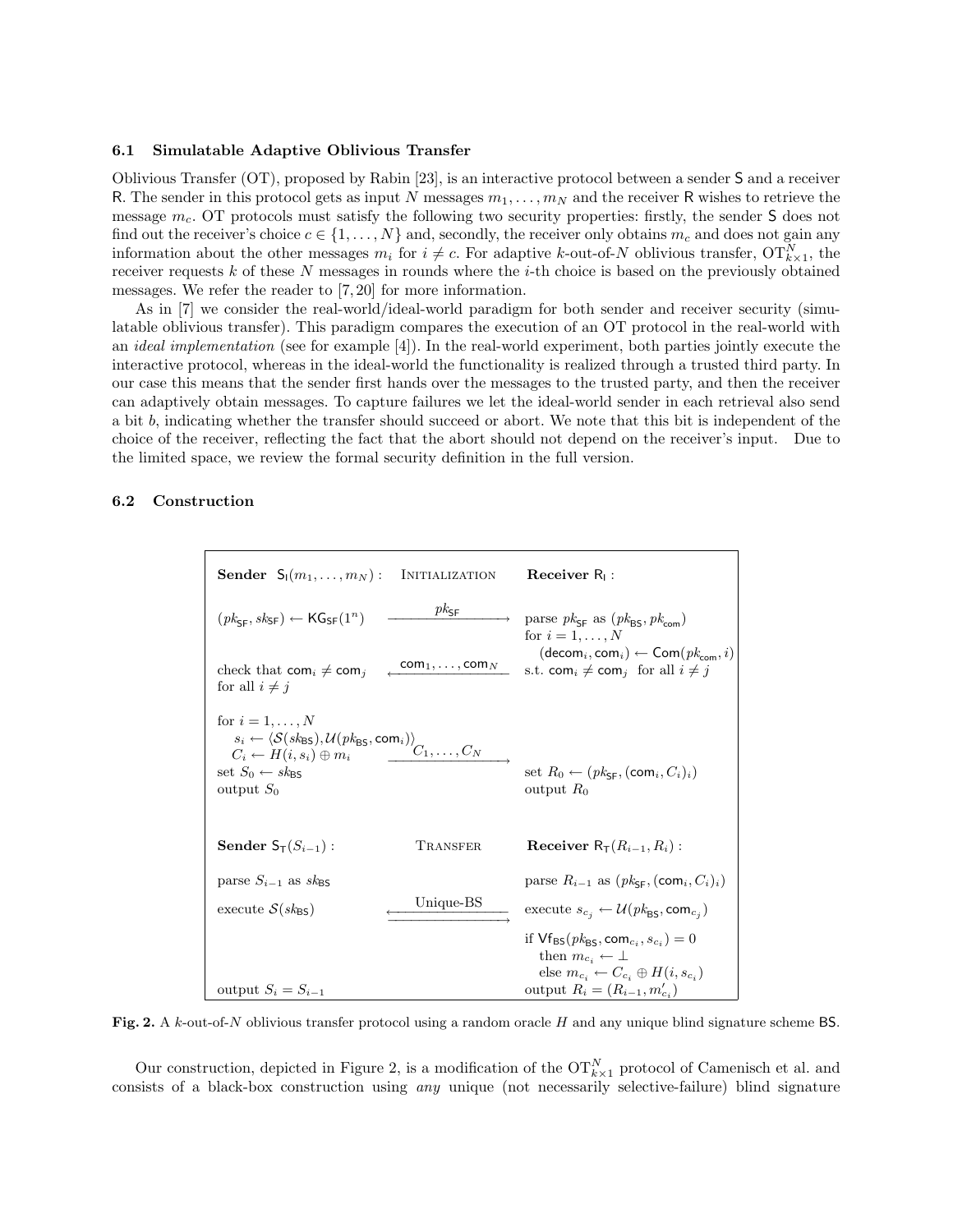#### 6.1 Simulatable Adaptive Oblivious Transfer

Oblivious Transfer (OT), proposed by Rabin [23], is an interactive protocol between a sender S and a receiver R. The sender in this protocol gets as input N messages  $m_1, \ldots, m_N$  and the receiver R wishes to retrieve the message  $m_c$ . OT protocols must satisfy the following two security properties: firstly, the sender S does not find out the receiver's choice  $c \in \{1, \ldots, N\}$  and, secondly, the receiver only obtains  $m_c$  and does not gain any information about the other messages  $m_i$  for  $i \neq c$ . For adaptive k-out-of-N oblivious transfer,  $\overline{OT}_{k\times 1}^N$ , the receiver requests  $k$  of these  $N$  messages in rounds where the  $i$ -th choice is based on the previously obtained messages. We refer the reader to [7, 20] for more information.

As in [7] we consider the real-world/ideal-world paradigm for both sender and receiver security (simulatable oblivious transfer). This paradigm compares the execution of an OT protocol in the real-world with an ideal implementation (see for example [4]). In the real-world experiment, both parties jointly execute the interactive protocol, whereas in the ideal-world the functionality is realized through a trusted third party. In our case this means that the sender first hands over the messages to the trusted party, and then the receiver can adaptively obtain messages. To capture failures we let the ideal-world sender in each retrieval also send a bit b, indicating whether the transfer should succeed or abort. We note that this bit is independent of the choice of the receiver, reflecting the fact that the abort should not depend on the receiver's input. Due to the limited space, we review the formal security definition in the full version.

#### 6.2 Construction

**Sender**  $S_1(m_1, \ldots, m_N)$ : INITIALIZATION **Receiver**  $R_1$ :  $(\mathit{pk}_{\mathsf{SF}},\mathit{sk}_{\mathsf{SF}}) \leftarrow \mathsf{KG}_{\mathsf{SF}}(1^n)$ parse  $pk_{\textsf{SF}}$  as  $(pk_{\textsf{BS}}, pk_{\textsf{com}})$ for  $i = 1, \ldots, N$  $(\text{decom}_i, \text{com}_i) \leftarrow \text{Com}(pk_{\text{com}}, i)$ check that  $com_i \neq com_j$  $\overrightarrow{\text{com}}_1, \dots, \overrightarrow{\text{com}}_N$  s.t. com<sub>i</sub>  $\neq$  com<sub>i</sub> for all  $i \neq j$ for all  $i \neq j$ for  $i = 1, \ldots, N$  $s_i \leftarrow \langle \mathcal{S}(s k_{\mathsf{BS}}), \mathcal{U}(p k_{\mathsf{BS}}, \mathsf{com}_i)$  $C_i \leftarrow H(i, s_i) \oplus m_i$  $\overrightarrow{C_1, \ldots, C_N}$ set  $S_0 \leftarrow sk_{\text{BS}}$ <br>set  $R_0 \leftarrow (pk_{\text{SF}}, (\text{com}_i, C_i)_i)$ <br>output  $R_0$ output  $S_0$ Sender  $S_T(S_{i-1})$ : TRANSFER Receiver  $R_T(R_{i-1}, R_i)$ : parse  $S_{i-1}$  as  $sk_{BS}$  parse  $R_{i-1}$  as  $(pk_{SF}, (com_i, C_i)_i)$ execute  $\mathcal{S}(sk_{\mathsf{BS}})$ Unique-BS execute  $s_{c_j} \leftarrow \mathcal{U}(pk_{\mathsf{BS}}, \mathsf{com}_{c_j})$ if  $\mathsf{Vf}_{\mathsf{BS}}(pk_{\mathsf{BS}}, \mathsf{com}_{c_i}, s_{c_i}) = 0$ then  $m_{c_i} \leftarrow \perp$ else  $m_{c_i} \leftarrow C_{c_i} \oplus H(i, s_{c_i})$ output  $S_i = S_{i-1}$  output  $R_i = (R_{i-1}, m'_{c_i})$ 

Fig. 2. A k-out-of-N oblivious transfer protocol using a random oracle H and any unique blind signature scheme BS.

Our construction, depicted in Figure 2, is a modification of the  $\mathrm{OT}_{k\times 1}^N$  protocol of Camenisch et al. and consists of a black-box construction using any unique (not necessarily selective-failure) blind signature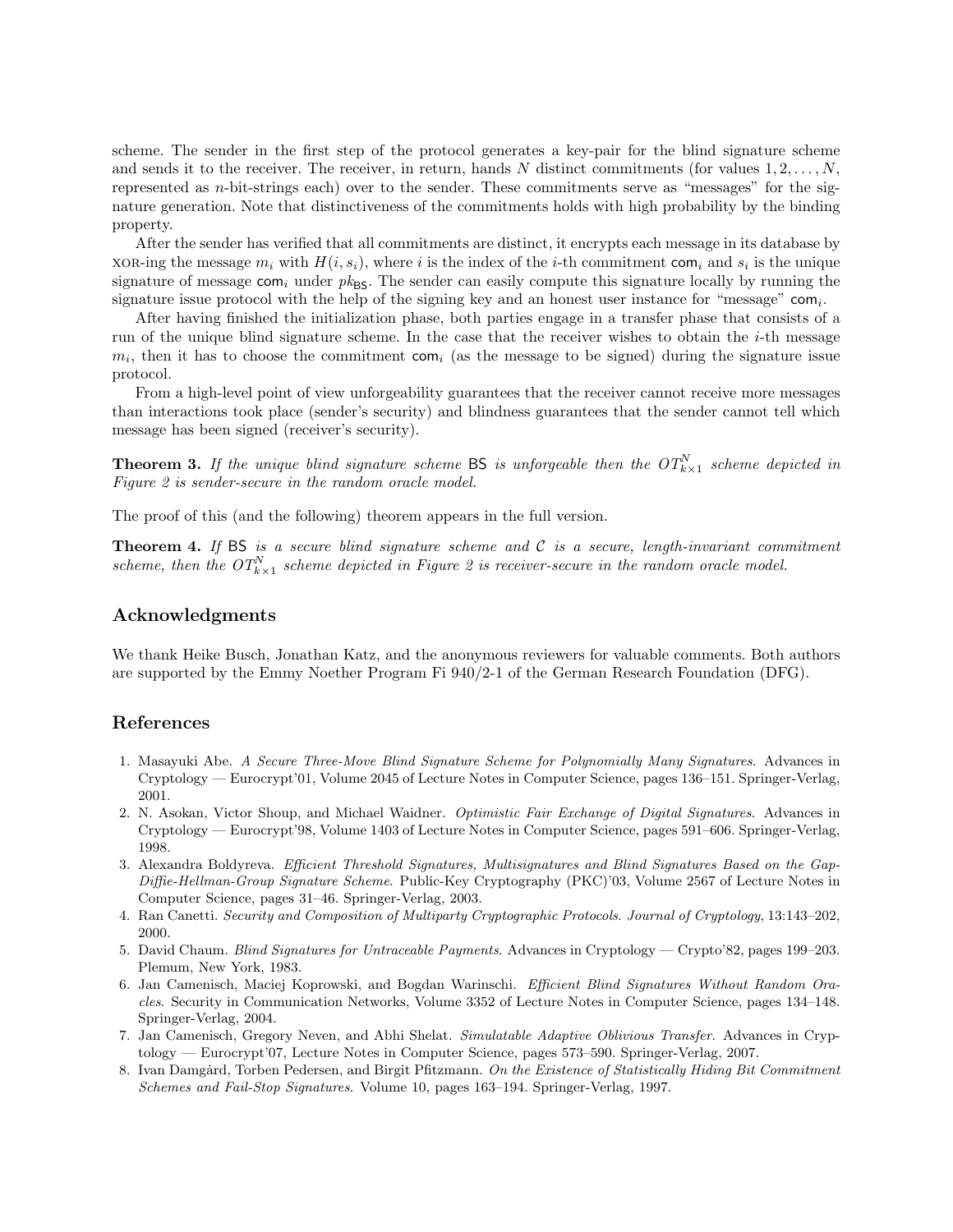scheme. The sender in the first step of the protocol generates a key-pair for the blind signature scheme and sends it to the receiver. The receiver, in return, hands N distinct commitments (for values  $1, 2, \ldots, N$ , represented as n-bit-strings each) over to the sender. These commitments serve as "messages" for the signature generation. Note that distinctiveness of the commitments holds with high probability by the binding property.

After the sender has verified that all commitments are distinct, it encrypts each message in its database by XOR-ing the message  $m_i$  with  $H(i, s_i)$ , where i is the index of the i-th commitment  $com_i$  and  $s_i$  is the unique signature of message  $com_i$  under  $pk_{BS}$ . The sender can easily compute this signature locally by running the signature issue protocol with the help of the signing key and an honest user instance for "message"  $com_i$ .

After having finished the initialization phase, both parties engage in a transfer phase that consists of a run of the unique blind signature scheme. In the case that the receiver wishes to obtain the  $i$ -th message  $m_i$ , then it has to choose the commitment com<sub>i</sub> (as the message to be signed) during the signature issue protocol.

From a high-level point of view unforgeability guarantees that the receiver cannot receive more messages than interactions took place (sender's security) and blindness guarantees that the sender cannot tell which message has been signed (receiver's security).

**Theorem 3.** If the unique blind signature scheme BS is unforgeable then the  $OT_{k\times 1}^N$  scheme depicted in Figure 2 is sender-secure in the random oracle model.

The proof of this (and the following) theorem appears in the full version.

**Theorem 4.** If BS is a secure blind signature scheme and  $C$  is a secure, length-invariant commitment scheme, then the  $OT_{k\times 1}^N$  scheme depicted in Figure 2 is receiver-secure in the random oracle model.

# Acknowledgments

We thank Heike Busch, Jonathan Katz, and the anonymous reviewers for valuable comments. Both authors are supported by the Emmy Noether Program Fi 940/2-1 of the German Research Foundation (DFG).

### References

- 1. Masayuki Abe. A Secure Three-Move Blind Signature Scheme for Polynomially Many Signatures. Advances in Cryptology — Eurocrypt'01, Volume 2045 of Lecture Notes in Computer Science, pages 136–151. Springer-Verlag, 2001.
- 2. N. Asokan, Victor Shoup, and Michael Waidner. Optimistic Fair Exchange of Digital Signatures. Advances in Cryptology — Eurocrypt'98, Volume 1403 of Lecture Notes in Computer Science, pages 591–606. Springer-Verlag, 1998.
- 3. Alexandra Boldyreva. Efficient Threshold Signatures, Multisignatures and Blind Signatures Based on the Gap-Diffie-Hellman-Group Signature Scheme. Public-Key Cryptography (PKC)'03, Volume 2567 of Lecture Notes in Computer Science, pages 31–46. Springer-Verlag, 2003.
- 4. Ran Canetti. Security and Composition of Multiparty Cryptographic Protocols. Journal of Cryptology, 13:143–202, 2000.
- 5. David Chaum. Blind Signatures for Untraceable Payments. Advances in Cryptology Crypto'82, pages 199–203. Plemum, New York, 1983.
- 6. Jan Camenisch, Maciej Koprowski, and Bogdan Warinschi. Efficient Blind Signatures Without Random Oracles. Security in Communication Networks, Volume 3352 of Lecture Notes in Computer Science, pages 134–148. Springer-Verlag, 2004.
- 7. Jan Camenisch, Gregory Neven, and Abhi Shelat. Simulatable Adaptive Oblivious Transfer. Advances in Cryptology — Eurocrypt'07, Lecture Notes in Computer Science, pages 573–590. Springer-Verlag, 2007.
- 8. Ivan Damgård, Torben Pedersen, and Birgit Pfitzmann. On the Existence of Statistically Hiding Bit Commitment Schemes and Fail-Stop Signatures. Volume 10, pages 163–194. Springer-Verlag, 1997.